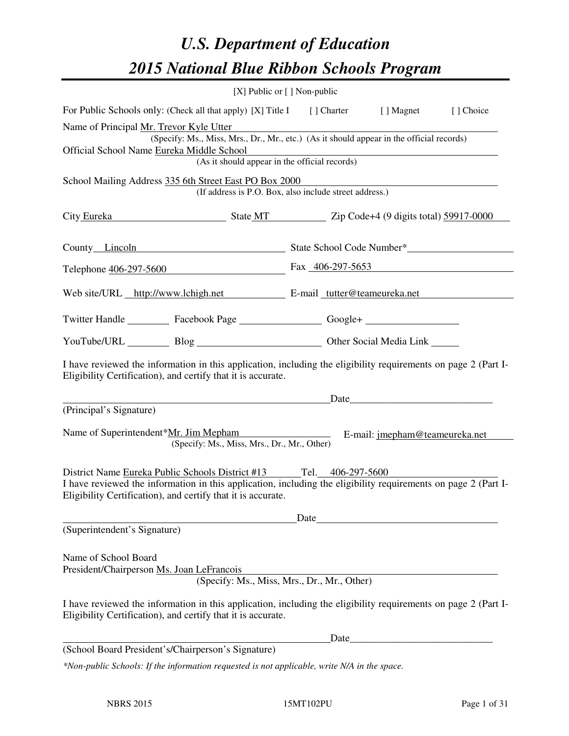# *U.S. Department of Education 2015 National Blue Ribbon Schools Program*

|                                                                                                                                                                                                                                                      | [X] Public or [] Non-public                                                                                                               |      |      |            |
|------------------------------------------------------------------------------------------------------------------------------------------------------------------------------------------------------------------------------------------------------|-------------------------------------------------------------------------------------------------------------------------------------------|------|------|------------|
| For Public Schools only: (Check all that apply) [X] Title I [] Charter [] Magnet                                                                                                                                                                     |                                                                                                                                           |      |      | [ ] Choice |
| Name of Principal Mr. Trevor Kyle Utter<br>Official School Name Eureka Middle School                                                                                                                                                                 | (Specify: Ms., Miss, Mrs., Dr., Mr., etc.) (As it should appear in the official records)<br>(As it should appear in the official records) |      |      |            |
| School Mailing Address 335 6th Street East PO Box 2000                                                                                                                                                                                               | (If address is P.O. Box, also include street address.)                                                                                    |      |      |            |
| City Eureka State MT Zip Code+4 (9 digits total) 59917-0000                                                                                                                                                                                          |                                                                                                                                           |      |      |            |
| County Lincoln State School Code Number*                                                                                                                                                                                                             |                                                                                                                                           |      |      |            |
| Telephone 406-297-5600 Fax 406-297-5653                                                                                                                                                                                                              |                                                                                                                                           |      |      |            |
| Web site/URL http://www.lchigh.net E-mail tutter@teameureka.net                                                                                                                                                                                      |                                                                                                                                           |      |      |            |
| Twitter Handle ___________ Facebook Page ____________________ Google+ ___________                                                                                                                                                                    |                                                                                                                                           |      |      |            |
| YouTube/URL Blog Blog Cher Social Media Link                                                                                                                                                                                                         |                                                                                                                                           |      |      |            |
| I have reviewed the information in this application, including the eligibility requirements on page 2 (Part I-<br>Eligibility Certification), and certify that it is accurate.                                                                       |                                                                                                                                           |      |      |            |
|                                                                                                                                                                                                                                                      |                                                                                                                                           |      | Date |            |
| (Principal's Signature)<br>Name of Superintendent*Mr. Jim Mepham E-mail: jmepham@teameureka.net                                                                                                                                                      | (Specify: Ms., Miss, Mrs., Dr., Mr., Other)                                                                                               |      |      |            |
| District Name Eureka Public Schools District #13 Tel. 406-297-5600<br>I have reviewed the information in this application, including the eligibility requirements on page 2 (Part I-<br>Eligibility Certification), and certify that it is accurate. |                                                                                                                                           |      |      |            |
|                                                                                                                                                                                                                                                      |                                                                                                                                           | Date |      |            |
| (Superintendent's Signature)                                                                                                                                                                                                                         |                                                                                                                                           |      |      |            |
| Name of School Board<br>President/Chairperson Ms. Joan LeFrancois                                                                                                                                                                                    | (Specify: Ms., Miss, Mrs., Dr., Mr., Other)                                                                                               |      |      |            |
| I have reviewed the information in this application, including the eligibility requirements on page 2 (Part I-<br>Eligibility Certification), and certify that it is accurate.                                                                       |                                                                                                                                           |      |      |            |
|                                                                                                                                                                                                                                                      |                                                                                                                                           | Date |      |            |
| (School Board President's/Chairperson's Signature)                                                                                                                                                                                                   |                                                                                                                                           |      |      |            |
| *Non-public Schools: If the information requested is not applicable, write N/A in the space.                                                                                                                                                         |                                                                                                                                           |      |      |            |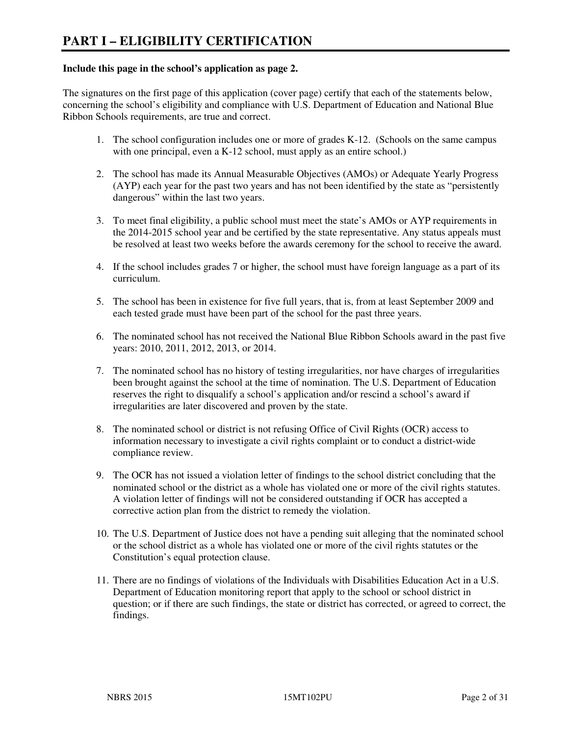#### **Include this page in the school's application as page 2.**

The signatures on the first page of this application (cover page) certify that each of the statements below, concerning the school's eligibility and compliance with U.S. Department of Education and National Blue Ribbon Schools requirements, are true and correct.

- 1. The school configuration includes one or more of grades K-12. (Schools on the same campus with one principal, even a K-12 school, must apply as an entire school.)
- 2. The school has made its Annual Measurable Objectives (AMOs) or Adequate Yearly Progress (AYP) each year for the past two years and has not been identified by the state as "persistently dangerous" within the last two years.
- 3. To meet final eligibility, a public school must meet the state's AMOs or AYP requirements in the 2014-2015 school year and be certified by the state representative. Any status appeals must be resolved at least two weeks before the awards ceremony for the school to receive the award.
- 4. If the school includes grades 7 or higher, the school must have foreign language as a part of its curriculum.
- 5. The school has been in existence for five full years, that is, from at least September 2009 and each tested grade must have been part of the school for the past three years.
- 6. The nominated school has not received the National Blue Ribbon Schools award in the past five years: 2010, 2011, 2012, 2013, or 2014.
- 7. The nominated school has no history of testing irregularities, nor have charges of irregularities been brought against the school at the time of nomination. The U.S. Department of Education reserves the right to disqualify a school's application and/or rescind a school's award if irregularities are later discovered and proven by the state.
- 8. The nominated school or district is not refusing Office of Civil Rights (OCR) access to information necessary to investigate a civil rights complaint or to conduct a district-wide compliance review.
- 9. The OCR has not issued a violation letter of findings to the school district concluding that the nominated school or the district as a whole has violated one or more of the civil rights statutes. A violation letter of findings will not be considered outstanding if OCR has accepted a corrective action plan from the district to remedy the violation.
- 10. The U.S. Department of Justice does not have a pending suit alleging that the nominated school or the school district as a whole has violated one or more of the civil rights statutes or the Constitution's equal protection clause.
- 11. There are no findings of violations of the Individuals with Disabilities Education Act in a U.S. Department of Education monitoring report that apply to the school or school district in question; or if there are such findings, the state or district has corrected, or agreed to correct, the findings.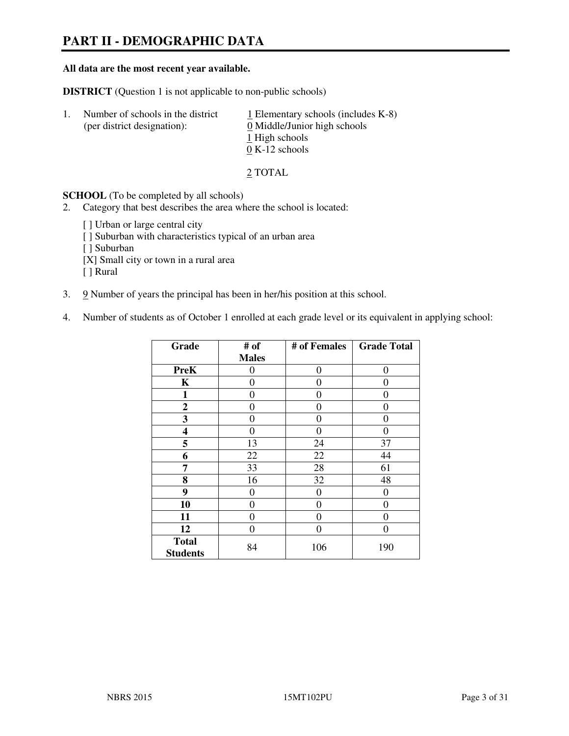# **PART II - DEMOGRAPHIC DATA**

#### **All data are the most recent year available.**

**DISTRICT** (Question 1 is not applicable to non-public schools)

| -1. | Number of schools in the district<br>(per district designation): | $\perp$ Elementary schools (includes K-8)<br>0 Middle/Junior high schools<br>1 High schools<br>$0 K-12$ schools |
|-----|------------------------------------------------------------------|-----------------------------------------------------------------------------------------------------------------|
|     |                                                                  |                                                                                                                 |

2 TOTAL

**SCHOOL** (To be completed by all schools)

2. Category that best describes the area where the school is located:

[ ] Urban or large central city [ ] Suburban with characteristics typical of an urban area [ ] Suburban [X] Small city or town in a rural area [ ] Rural

- 3. 9 Number of years the principal has been in her/his position at this school.
- 4. Number of students as of October 1 enrolled at each grade level or its equivalent in applying school:

| Grade                           | # of         | # of Females | <b>Grade Total</b> |
|---------------------------------|--------------|--------------|--------------------|
|                                 | <b>Males</b> |              |                    |
| <b>PreK</b>                     | 0            | $\theta$     | 0                  |
| K                               | 0            | 0            | $\theta$           |
| 1                               | 0            | 0            | $\theta$           |
| $\boldsymbol{2}$                | 0            | 0            | 0                  |
| 3                               | 0            | 0            | 0                  |
| 4                               | 0            | 0            | 0                  |
| 5                               | 13           | 24           | 37                 |
| 6                               | 22           | 22           | 44                 |
| 7                               | 33           | 28           | 61                 |
| 8                               | 16           | 32           | 48                 |
| 9                               | 0            | 0            | 0                  |
| 10                              | $\theta$     | 0            | 0                  |
| 11                              | 0            | 0            | 0                  |
| 12                              | 0            | 0            | 0                  |
| <b>Total</b><br><b>Students</b> | 84           | 106          | 190                |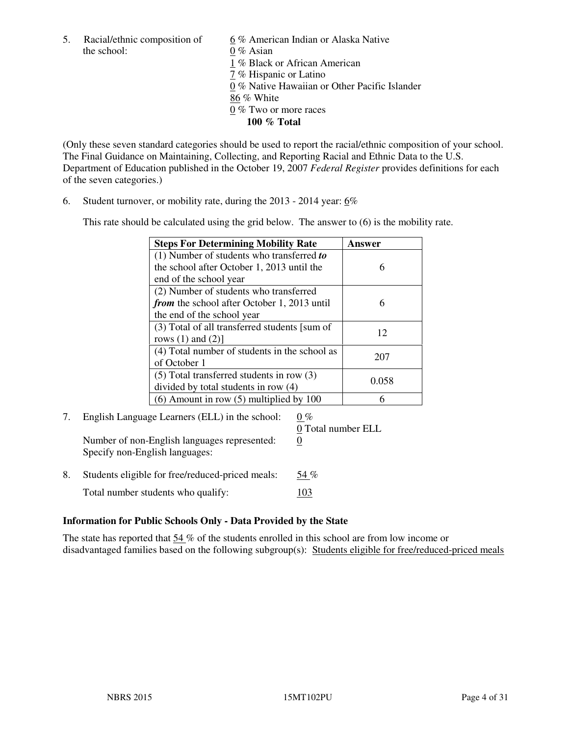5. Racial/ethnic composition of  $\frac{6}{9}$ % American Indian or Alaska Native the school: 0 % Asian

 1 % Black or African American 7 % Hispanic or Latino 0 % Native Hawaiian or Other Pacific Islander 86 % White 0 % Two or more races **100 % Total** 

(Only these seven standard categories should be used to report the racial/ethnic composition of your school. The Final Guidance on Maintaining, Collecting, and Reporting Racial and Ethnic Data to the U.S. Department of Education published in the October 19, 2007 *Federal Register* provides definitions for each of the seven categories.)

6. Student turnover, or mobility rate, during the 2013 - 2014 year: 6%

This rate should be calculated using the grid below. The answer to (6) is the mobility rate.

| <b>Steps For Determining Mobility Rate</b>    | Answer |
|-----------------------------------------------|--------|
| $(1)$ Number of students who transferred to   |        |
| the school after October 1, 2013 until the    | 6      |
| end of the school year                        |        |
| (2) Number of students who transferred        |        |
| from the school after October 1, 2013 until   | 6      |
| the end of the school year                    |        |
| (3) Total of all transferred students [sum of | 12     |
| rows $(1)$ and $(2)$ ]                        |        |
| (4) Total number of students in the school as | 207    |
| of October 1                                  |        |
| $(5)$ Total transferred students in row $(3)$ | 0.058  |
| divided by total students in row (4)          |        |
| $(6)$ Amount in row $(5)$ multiplied by 100   |        |

#### 7. English Language Learners (ELL) in the school:  $0\%$  0 Total number ELL Number of non-English languages represented: 0

Specify non-English languages:

8. Students eligible for free/reduced-priced meals:  $54\%$ Total number students who qualify: 103

### **Information for Public Schools Only - Data Provided by the State**

The state has reported that  $54\%$  of the students enrolled in this school are from low income or disadvantaged families based on the following subgroup(s): Students eligible for free/reduced-priced meals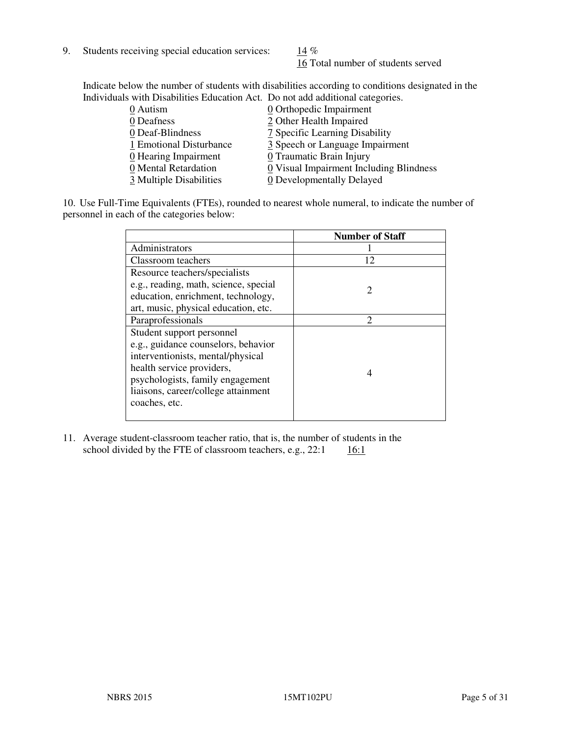9. Students receiving special education services:  $14\%$ 

16 Total number of students served

Indicate below the number of students with disabilities according to conditions designated in the Individuals with Disabilities Education Act. Do not add additional categories.

| $\underline{0}$ Orthopedic Impairment   |
|-----------------------------------------|
| 2 Other Health Impaired                 |
| 7 Specific Learning Disability          |
| 3 Speech or Language Impairment         |
| 0 Traumatic Brain Injury                |
| 0 Visual Impairment Including Blindness |
| 0 Developmentally Delayed               |
|                                         |

10. Use Full-Time Equivalents (FTEs), rounded to nearest whole numeral, to indicate the number of personnel in each of the categories below:

|                                       | <b>Number of Staff</b>      |
|---------------------------------------|-----------------------------|
| Administrators                        |                             |
| Classroom teachers                    | 12                          |
| Resource teachers/specialists         |                             |
| e.g., reading, math, science, special | $\mathcal{D}_{\mathcal{L}}$ |
| education, enrichment, technology,    |                             |
| art, music, physical education, etc.  |                             |
| Paraprofessionals                     | $\mathcal{D}_{\mathcal{A}}$ |
| Student support personnel             |                             |
| e.g., guidance counselors, behavior   |                             |
| interventionists, mental/physical     |                             |
| health service providers,             | 4                           |
| psychologists, family engagement      |                             |
| liaisons, career/college attainment   |                             |
| coaches, etc.                         |                             |
|                                       |                             |

11. Average student-classroom teacher ratio, that is, the number of students in the school divided by the FTE of classroom teachers, e.g.,  $22:1$  16:1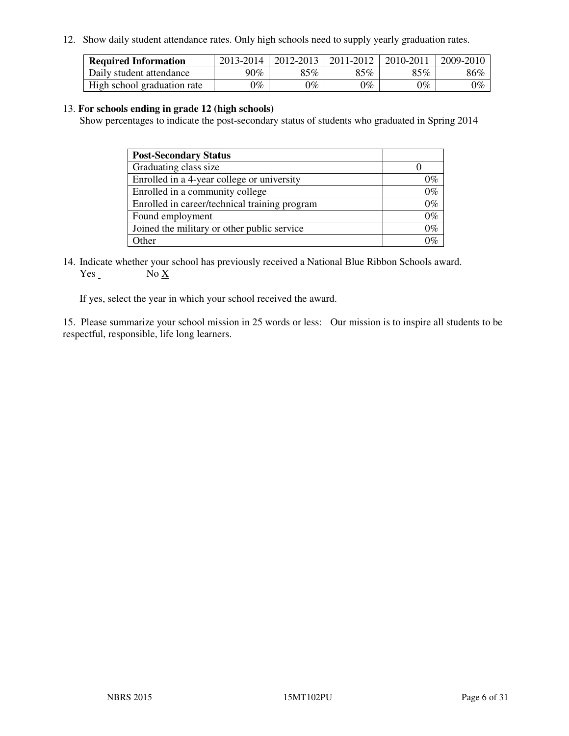12. Show daily student attendance rates. Only high schools need to supply yearly graduation rates.

| <b>Required Information</b> | 2013-2014     | 2012-2013       | 2011-2012 | 2010-2011 | 2009-2010 |
|-----------------------------|---------------|-----------------|-----------|-----------|-----------|
| Daily student attendance    | 90%           | 85%             | 85%       | $85\%$    | 86%       |
| High school graduation rate | $\gamma_{\%}$ | $\mathcal{V}_o$ | $0\%$     | 0%        | 0%        |

#### 13. **For schools ending in grade 12 (high schools)**

Show percentages to indicate the post-secondary status of students who graduated in Spring 2014

| <b>Post-Secondary Status</b>                  |       |
|-----------------------------------------------|-------|
| Graduating class size                         |       |
| Enrolled in a 4-year college or university    | በ‰    |
| Enrolled in a community college               | $0\%$ |
| Enrolled in career/technical training program | $0\%$ |
| Found employment                              | $0\%$ |
| Joined the military or other public service   | 0%    |
| Other                                         |       |

14. Indicate whether your school has previously received a National Blue Ribbon Schools award. Yes No X

If yes, select the year in which your school received the award.

15. Please summarize your school mission in 25 words or less: Our mission is to inspire all students to be respectful, responsible, life long learners.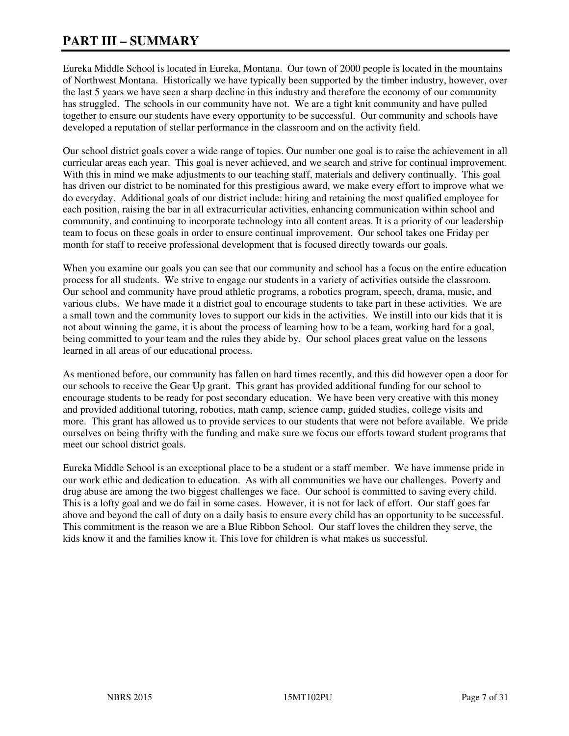# **PART III – SUMMARY**

Eureka Middle School is located in Eureka, Montana. Our town of 2000 people is located in the mountains of Northwest Montana. Historically we have typically been supported by the timber industry, however, over the last 5 years we have seen a sharp decline in this industry and therefore the economy of our community has struggled. The schools in our community have not. We are a tight knit community and have pulled together to ensure our students have every opportunity to be successful. Our community and schools have developed a reputation of stellar performance in the classroom and on the activity field.

Our school district goals cover a wide range of topics. Our number one goal is to raise the achievement in all curricular areas each year. This goal is never achieved, and we search and strive for continual improvement. With this in mind we make adjustments to our teaching staff, materials and delivery continually. This goal has driven our district to be nominated for this prestigious award, we make every effort to improve what we do everyday. Additional goals of our district include: hiring and retaining the most qualified employee for each position, raising the bar in all extracurricular activities, enhancing communication within school and community, and continuing to incorporate technology into all content areas. It is a priority of our leadership team to focus on these goals in order to ensure continual improvement. Our school takes one Friday per month for staff to receive professional development that is focused directly towards our goals.

When you examine our goals you can see that our community and school has a focus on the entire education process for all students. We strive to engage our students in a variety of activities outside the classroom. Our school and community have proud athletic programs, a robotics program, speech, drama, music, and various clubs. We have made it a district goal to encourage students to take part in these activities. We are a small town and the community loves to support our kids in the activities. We instill into our kids that it is not about winning the game, it is about the process of learning how to be a team, working hard for a goal, being committed to your team and the rules they abide by. Our school places great value on the lessons learned in all areas of our educational process.

As mentioned before, our community has fallen on hard times recently, and this did however open a door for our schools to receive the Gear Up grant. This grant has provided additional funding for our school to encourage students to be ready for post secondary education. We have been very creative with this money and provided additional tutoring, robotics, math camp, science camp, guided studies, college visits and more. This grant has allowed us to provide services to our students that were not before available. We pride ourselves on being thrifty with the funding and make sure we focus our efforts toward student programs that meet our school district goals.

Eureka Middle School is an exceptional place to be a student or a staff member. We have immense pride in our work ethic and dedication to education. As with all communities we have our challenges. Poverty and drug abuse are among the two biggest challenges we face. Our school is committed to saving every child. This is a lofty goal and we do fail in some cases. However, it is not for lack of effort. Our staff goes far above and beyond the call of duty on a daily basis to ensure every child has an opportunity to be successful. This commitment is the reason we are a Blue Ribbon School. Our staff loves the children they serve, the kids know it and the families know it. This love for children is what makes us successful.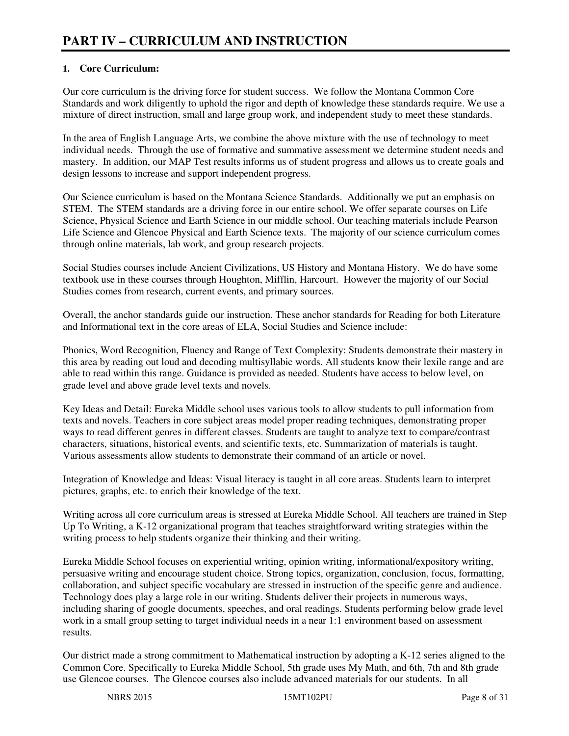### **1. Core Curriculum:**

Our core curriculum is the driving force for student success. We follow the Montana Common Core Standards and work diligently to uphold the rigor and depth of knowledge these standards require. We use a mixture of direct instruction, small and large group work, and independent study to meet these standards.

In the area of English Language Arts, we combine the above mixture with the use of technology to meet individual needs. Through the use of formative and summative assessment we determine student needs and mastery. In addition, our MAP Test results informs us of student progress and allows us to create goals and design lessons to increase and support independent progress.

Our Science curriculum is based on the Montana Science Standards. Additionally we put an emphasis on STEM. The STEM standards are a driving force in our entire school. We offer separate courses on Life Science, Physical Science and Earth Science in our middle school. Our teaching materials include Pearson Life Science and Glencoe Physical and Earth Science texts. The majority of our science curriculum comes through online materials, lab work, and group research projects.

Social Studies courses include Ancient Civilizations, US History and Montana History. We do have some textbook use in these courses through Houghton, Mifflin, Harcourt. However the majority of our Social Studies comes from research, current events, and primary sources.

Overall, the anchor standards guide our instruction. These anchor standards for Reading for both Literature and Informational text in the core areas of ELA, Social Studies and Science include:

Phonics, Word Recognition, Fluency and Range of Text Complexity: Students demonstrate their mastery in this area by reading out loud and decoding multisyllabic words. All students know their lexile range and are able to read within this range. Guidance is provided as needed. Students have access to below level, on grade level and above grade level texts and novels.

Key Ideas and Detail: Eureka Middle school uses various tools to allow students to pull information from texts and novels. Teachers in core subject areas model proper reading techniques, demonstrating proper ways to read different genres in different classes. Students are taught to analyze text to compare/contrast characters, situations, historical events, and scientific texts, etc. Summarization of materials is taught. Various assessments allow students to demonstrate their command of an article or novel.

Integration of Knowledge and Ideas: Visual literacy is taught in all core areas. Students learn to interpret pictures, graphs, etc. to enrich their knowledge of the text.

Writing across all core curriculum areas is stressed at Eureka Middle School. All teachers are trained in Step Up To Writing, a K-12 organizational program that teaches straightforward writing strategies within the writing process to help students organize their thinking and their writing.

Eureka Middle School focuses on experiential writing, opinion writing, informational/expository writing, persuasive writing and encourage student choice. Strong topics, organization, conclusion, focus, formatting, collaboration, and subject specific vocabulary are stressed in instruction of the specific genre and audience. Technology does play a large role in our writing. Students deliver their projects in numerous ways, including sharing of google documents, speeches, and oral readings. Students performing below grade level work in a small group setting to target individual needs in a near 1:1 environment based on assessment results.

Our district made a strong commitment to Mathematical instruction by adopting a K-12 series aligned to the Common Core. Specifically to Eureka Middle School, 5th grade uses My Math, and 6th, 7th and 8th grade use Glencoe courses. The Glencoe courses also include advanced materials for our students. In all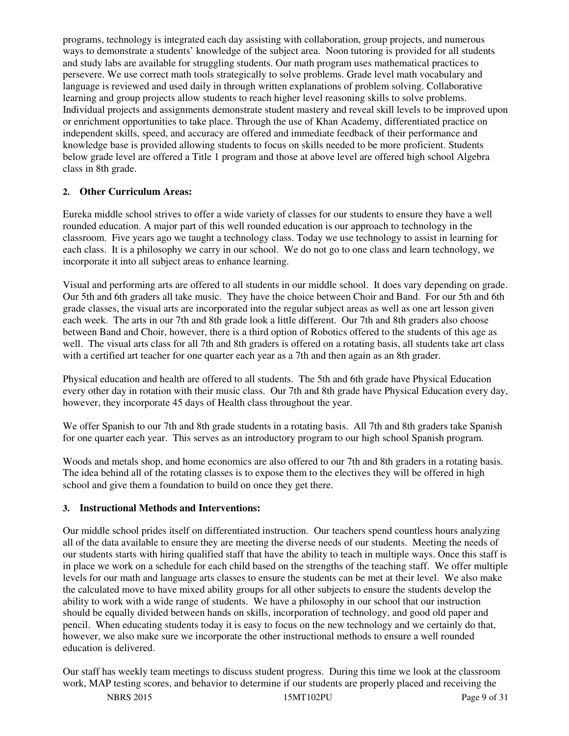programs, technology is integrated each day assisting with collaboration, group projects, and numerous ways to demonstrate a students' knowledge of the subject area. Noon tutoring is provided for all students and study labs are available for struggling students. Our math program uses mathematical practices to persevere. We use correct math tools strategically to solve problems. Grade level math vocabulary and language is reviewed and used daily in through written explanations of problem solving. Collaborative learning and group projects allow students to reach higher level reasoning skills to solve problems. Individual projects and assignments demonstrate student mastery and reveal skill levels to be improved upon or enrichment opportunities to take place. Through the use of Khan Academy, differentiated practice on independent skills, speed, and accuracy are offered and immediate feedback of their performance and knowledge base is provided allowing students to focus on skills needed to be more proficient. Students below grade level are offered a Title 1 program and those at above level are offered high school Algebra class in 8th grade.

### **2. Other Curriculum Areas:**

Eureka middle school strives to offer a wide variety of classes for our students to ensure they have a well rounded education. A major part of this well rounded education is our approach to technology in the classroom. Five years ago we taught a technology class. Today we use technology to assist in learning for each class. It is a philosophy we carry in our school. We do not go to one class and learn technology, we incorporate it into all subject areas to enhance learning.

Visual and performing arts are offered to all students in our middle school. It does vary depending on grade. Our 5th and 6th graders all take music. They have the choice between Choir and Band. For our 5th and 6th grade classes, the visual arts are incorporated into the regular subject areas as well as one art lesson given each week. The arts in our 7th and 8th grade look a little different. Our 7th and 8th graders also choose between Band and Choir, however, there is a third option of Robotics offered to the students of this age as well. The visual arts class for all 7th and 8th graders is offered on a rotating basis, all students take art class with a certified art teacher for one quarter each year as a 7th and then again as an 8th grader.

Physical education and health are offered to all students. The 5th and 6th grade have Physical Education every other day in rotation with their music class. Our 7th and 8th grade have Physical Education every day, however, they incorporate 45 days of Health class throughout the year.

We offer Spanish to our 7th and 8th grade students in a rotating basis. All 7th and 8th graders take Spanish for one quarter each year. This serves as an introductory program to our high school Spanish program.

Woods and metals shop, and home economics are also offered to our 7th and 8th graders in a rotating basis. The idea behind all of the rotating classes is to expose them to the electives they will be offered in high school and give them a foundation to build on once they get there.

### **3. Instructional Methods and Interventions:**

Our middle school prides itself on differentiated instruction. Our teachers spend countless hours analyzing all of the data available to ensure they are meeting the diverse needs of our students. Meeting the needs of our students starts with hiring qualified staff that have the ability to teach in multiple ways. Once this staff is in place we work on a schedule for each child based on the strengths of the teaching staff. We offer multiple levels for our math and language arts classes to ensure the students can be met at their level. We also make the calculated move to have mixed ability groups for all other subjects to ensure the students develop the ability to work with a wide range of students. We have a philosophy in our school that our instruction should be equally divided between hands on skills, incorporation of technology, and good old paper and pencil. When educating students today it is easy to focus on the new technology and we certainly do that, however, we also make sure we incorporate the other instructional methods to ensure a well rounded education is delivered.

Our staff has weekly team meetings to discuss student progress. During this time we look at the classroom work, MAP testing scores, and behavior to determine if our students are properly placed and receiving the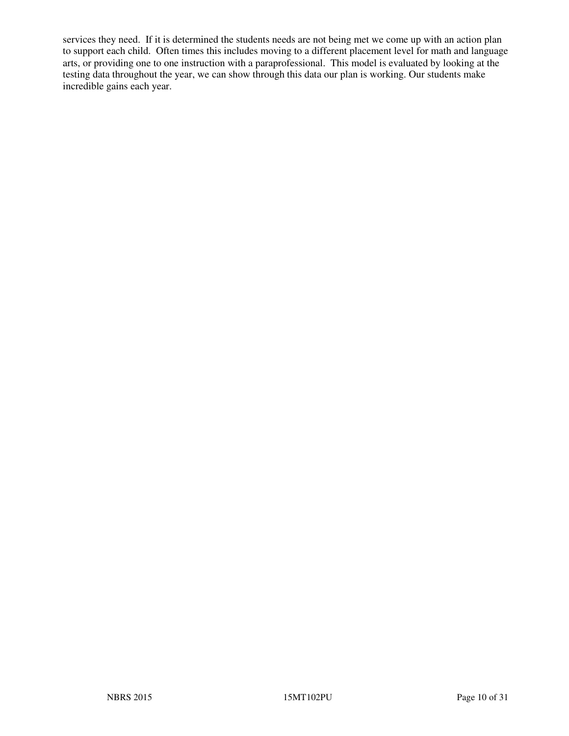services they need. If it is determined the students needs are not being met we come up with an action plan to support each child. Often times this includes moving to a different placement level for math and language arts, or providing one to one instruction with a paraprofessional. This model is evaluated by looking at the testing data throughout the year, we can show through this data our plan is working. Our students make incredible gains each year.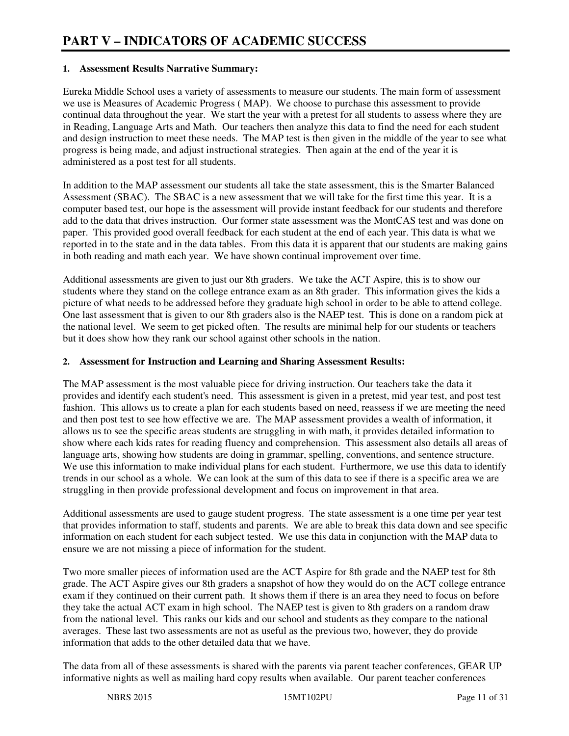#### **1. Assessment Results Narrative Summary:**

Eureka Middle School uses a variety of assessments to measure our students. The main form of assessment we use is Measures of Academic Progress ( MAP). We choose to purchase this assessment to provide continual data throughout the year. We start the year with a pretest for all students to assess where they are in Reading, Language Arts and Math. Our teachers then analyze this data to find the need for each student and design instruction to meet these needs. The MAP test is then given in the middle of the year to see what progress is being made, and adjust instructional strategies. Then again at the end of the year it is administered as a post test for all students.

In addition to the MAP assessment our students all take the state assessment, this is the Smarter Balanced Assessment (SBAC). The SBAC is a new assessment that we will take for the first time this year. It is a computer based test, our hope is the assessment will provide instant feedback for our students and therefore add to the data that drives instruction. Our former state assessment was the MontCAS test and was done on paper. This provided good overall feedback for each student at the end of each year. This data is what we reported in to the state and in the data tables. From this data it is apparent that our students are making gains in both reading and math each year. We have shown continual improvement over time.

Additional assessments are given to just our 8th graders. We take the ACT Aspire, this is to show our students where they stand on the college entrance exam as an 8th grader. This information gives the kids a picture of what needs to be addressed before they graduate high school in order to be able to attend college. One last assessment that is given to our 8th graders also is the NAEP test. This is done on a random pick at the national level. We seem to get picked often. The results are minimal help for our students or teachers but it does show how they rank our school against other schools in the nation.

#### **2. Assessment for Instruction and Learning and Sharing Assessment Results:**

The MAP assessment is the most valuable piece for driving instruction. Our teachers take the data it provides and identify each student's need. This assessment is given in a pretest, mid year test, and post test fashion. This allows us to create a plan for each students based on need, reassess if we are meeting the need and then post test to see how effective we are. The MAP assessment provides a wealth of information, it allows us to see the specific areas students are struggling in with math, it provides detailed information to show where each kids rates for reading fluency and comprehension. This assessment also details all areas of language arts, showing how students are doing in grammar, spelling, conventions, and sentence structure. We use this information to make individual plans for each student. Furthermore, we use this data to identify trends in our school as a whole. We can look at the sum of this data to see if there is a specific area we are struggling in then provide professional development and focus on improvement in that area.

Additional assessments are used to gauge student progress. The state assessment is a one time per year test that provides information to staff, students and parents. We are able to break this data down and see specific information on each student for each subject tested. We use this data in conjunction with the MAP data to ensure we are not missing a piece of information for the student.

Two more smaller pieces of information used are the ACT Aspire for 8th grade and the NAEP test for 8th grade. The ACT Aspire gives our 8th graders a snapshot of how they would do on the ACT college entrance exam if they continued on their current path. It shows them if there is an area they need to focus on before they take the actual ACT exam in high school. The NAEP test is given to 8th graders on a random draw from the national level. This ranks our kids and our school and students as they compare to the national averages. These last two assessments are not as useful as the previous two, however, they do provide information that adds to the other detailed data that we have.

The data from all of these assessments is shared with the parents via parent teacher conferences, GEAR UP informative nights as well as mailing hard copy results when available. Our parent teacher conferences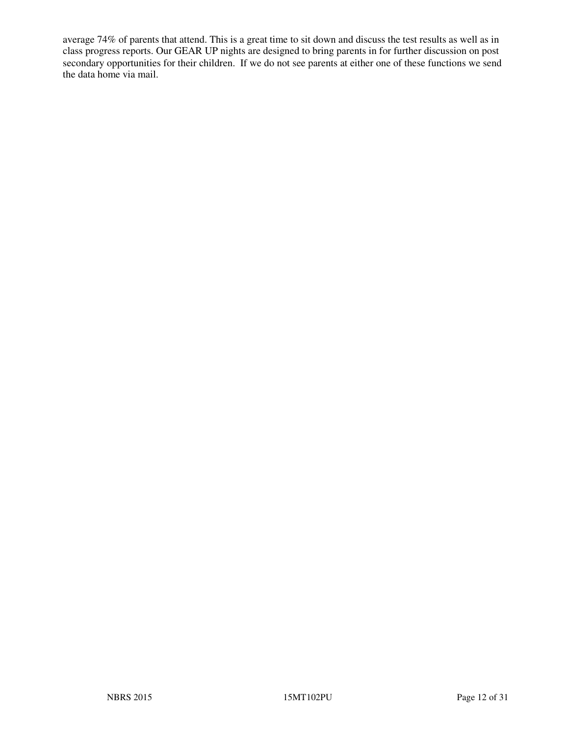average 74% of parents that attend. This is a great time to sit down and discuss the test results as well as in class progress reports. Our GEAR UP nights are designed to bring parents in for further discussion on post secondary opportunities for their children. If we do not see parents at either one of these functions we send the data home via mail.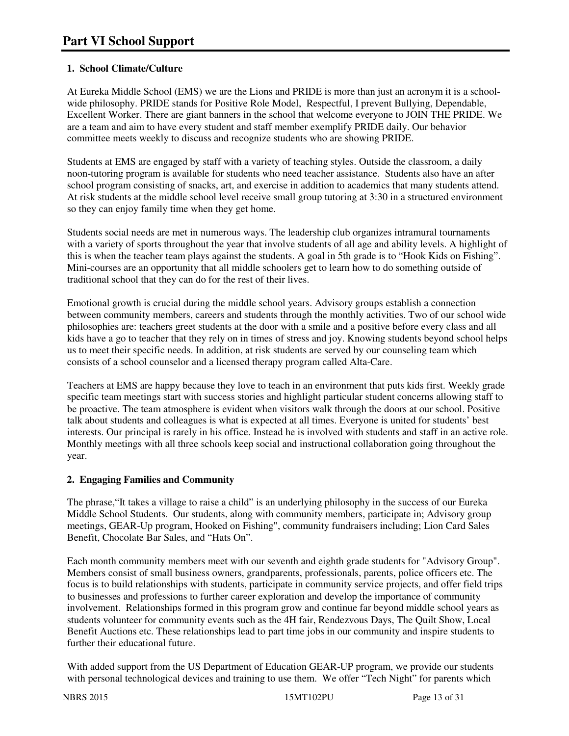### **1. School Climate/Culture**

At Eureka Middle School (EMS) we are the Lions and PRIDE is more than just an acronym it is a schoolwide philosophy. PRIDE stands for Positive Role Model, Respectful, I prevent Bullying, Dependable, Excellent Worker. There are giant banners in the school that welcome everyone to JOIN THE PRIDE. We are a team and aim to have every student and staff member exemplify PRIDE daily. Our behavior committee meets weekly to discuss and recognize students who are showing PRIDE.

Students at EMS are engaged by staff with a variety of teaching styles. Outside the classroom, a daily noon-tutoring program is available for students who need teacher assistance. Students also have an after school program consisting of snacks, art, and exercise in addition to academics that many students attend. At risk students at the middle school level receive small group tutoring at 3:30 in a structured environment so they can enjoy family time when they get home.

Students social needs are met in numerous ways. The leadership club organizes intramural tournaments with a variety of sports throughout the year that involve students of all age and ability levels. A highlight of this is when the teacher team plays against the students. A goal in 5th grade is to "Hook Kids on Fishing". Mini-courses are an opportunity that all middle schoolers get to learn how to do something outside of traditional school that they can do for the rest of their lives.

Emotional growth is crucial during the middle school years. Advisory groups establish a connection between community members, careers and students through the monthly activities. Two of our school wide philosophies are: teachers greet students at the door with a smile and a positive before every class and all kids have a go to teacher that they rely on in times of stress and joy. Knowing students beyond school helps us to meet their specific needs. In addition, at risk students are served by our counseling team which consists of a school counselor and a licensed therapy program called Alta-Care.

Teachers at EMS are happy because they love to teach in an environment that puts kids first. Weekly grade specific team meetings start with success stories and highlight particular student concerns allowing staff to be proactive. The team atmosphere is evident when visitors walk through the doors at our school. Positive talk about students and colleagues is what is expected at all times. Everyone is united for students' best interests. Our principal is rarely in his office. Instead he is involved with students and staff in an active role. Monthly meetings with all three schools keep social and instructional collaboration going throughout the year.

### **2. Engaging Families and Community**

The phrase,"It takes a village to raise a child" is an underlying philosophy in the success of our Eureka Middle School Students. Our students, along with community members, participate in; Advisory group meetings, GEAR-Up program, Hooked on Fishing", community fundraisers including; Lion Card Sales Benefit, Chocolate Bar Sales, and "Hats On".

Each month community members meet with our seventh and eighth grade students for "Advisory Group". Members consist of small business owners, grandparents, professionals, parents, police officers etc. The focus is to build relationships with students, participate in community service projects, and offer field trips to businesses and professions to further career exploration and develop the importance of community involvement. Relationships formed in this program grow and continue far beyond middle school years as students volunteer for community events such as the 4H fair, Rendezvous Days, The Quilt Show, Local Benefit Auctions etc. These relationships lead to part time jobs in our community and inspire students to further their educational future.

With added support from the US Department of Education GEAR-UP program, we provide our students with personal technological devices and training to use them. We offer "Tech Night" for parents which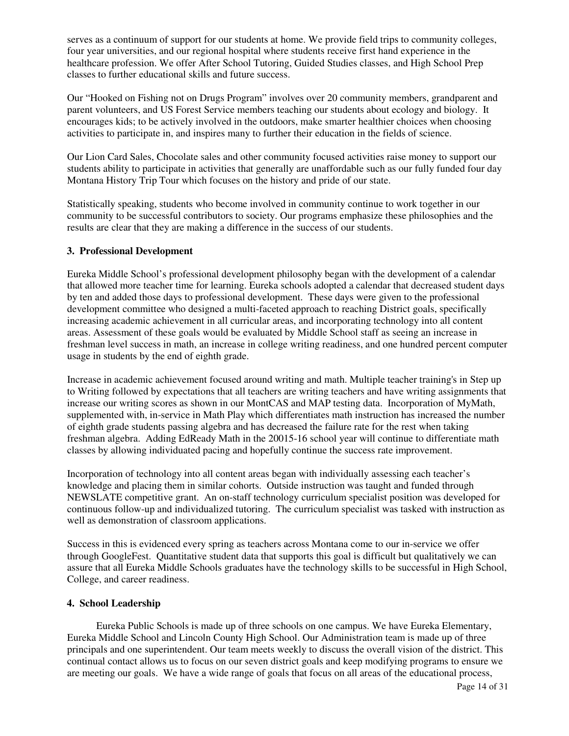serves as a continuum of support for our students at home. We provide field trips to community colleges, four year universities, and our regional hospital where students receive first hand experience in the healthcare profession. We offer After School Tutoring, Guided Studies classes, and High School Prep classes to further educational skills and future success.

Our "Hooked on Fishing not on Drugs Program" involves over 20 community members, grandparent and parent volunteers, and US Forest Service members teaching our students about ecology and biology. It encourages kids; to be actively involved in the outdoors, make smarter healthier choices when choosing activities to participate in, and inspires many to further their education in the fields of science.

Our Lion Card Sales, Chocolate sales and other community focused activities raise money to support our students ability to participate in activities that generally are unaffordable such as our fully funded four day Montana History Trip Tour which focuses on the history and pride of our state.

Statistically speaking, students who become involved in community continue to work together in our community to be successful contributors to society. Our programs emphasize these philosophies and the results are clear that they are making a difference in the success of our students.

#### **3. Professional Development**

Eureka Middle School's professional development philosophy began with the development of a calendar that allowed more teacher time for learning. Eureka schools adopted a calendar that decreased student days by ten and added those days to professional development. These days were given to the professional development committee who designed a multi-faceted approach to reaching District goals, specifically increasing academic achievement in all curricular areas, and incorporating technology into all content areas. Assessment of these goals would be evaluated by Middle School staff as seeing an increase in freshman level success in math, an increase in college writing readiness, and one hundred percent computer usage in students by the end of eighth grade.

Increase in academic achievement focused around writing and math. Multiple teacher training's in Step up to Writing followed by expectations that all teachers are writing teachers and have writing assignments that increase our writing scores as shown in our MontCAS and MAP testing data. Incorporation of MyMath, supplemented with, in-service in Math Play which differentiates math instruction has increased the number of eighth grade students passing algebra and has decreased the failure rate for the rest when taking freshman algebra. Adding EdReady Math in the 20015-16 school year will continue to differentiate math classes by allowing individuated pacing and hopefully continue the success rate improvement.

Incorporation of technology into all content areas began with individually assessing each teacher's knowledge and placing them in similar cohorts. Outside instruction was taught and funded through NEWSLATE competitive grant. An on-staff technology curriculum specialist position was developed for continuous follow-up and individualized tutoring. The curriculum specialist was tasked with instruction as well as demonstration of classroom applications.

Success in this is evidenced every spring as teachers across Montana come to our in-service we offer through GoogleFest. Quantitative student data that supports this goal is difficult but qualitatively we can assure that all Eureka Middle Schools graduates have the technology skills to be successful in High School, College, and career readiness.

#### **4. School Leadership**

 Eureka Public Schools is made up of three schools on one campus. We have Eureka Elementary, Eureka Middle School and Lincoln County High School. Our Administration team is made up of three principals and one superintendent. Our team meets weekly to discuss the overall vision of the district. This continual contact allows us to focus on our seven district goals and keep modifying programs to ensure we are meeting our goals. We have a wide range of goals that focus on all areas of the educational process,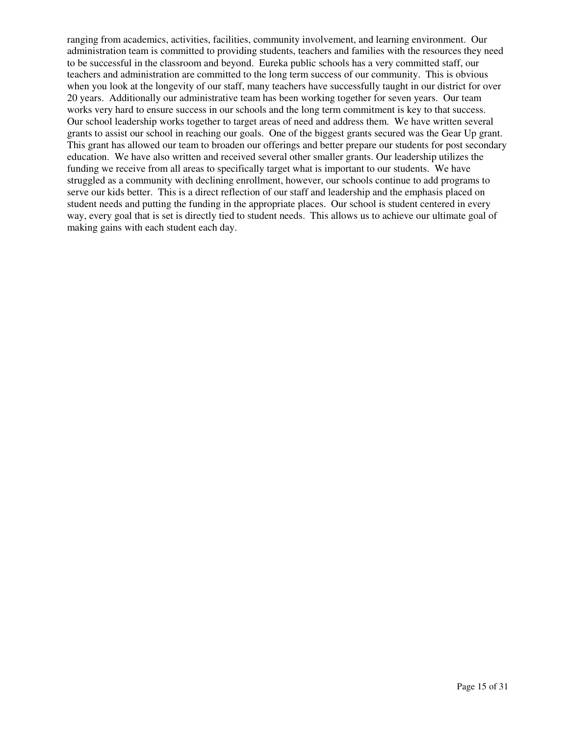ranging from academics, activities, facilities, community involvement, and learning environment. Our administration team is committed to providing students, teachers and families with the resources they need to be successful in the classroom and beyond. Eureka public schools has a very committed staff, our teachers and administration are committed to the long term success of our community. This is obvious when you look at the longevity of our staff, many teachers have successfully taught in our district for over 20 years. Additionally our administrative team has been working together for seven years. Our team works very hard to ensure success in our schools and the long term commitment is key to that success. Our school leadership works together to target areas of need and address them. We have written several grants to assist our school in reaching our goals. One of the biggest grants secured was the Gear Up grant. This grant has allowed our team to broaden our offerings and better prepare our students for post secondary education. We have also written and received several other smaller grants. Our leadership utilizes the funding we receive from all areas to specifically target what is important to our students. We have struggled as a community with declining enrollment, however, our schools continue to add programs to serve our kids better. This is a direct reflection of our staff and leadership and the emphasis placed on student needs and putting the funding in the appropriate places. Our school is student centered in every way, every goal that is set is directly tied to student needs. This allows us to achieve our ultimate goal of making gains with each student each day.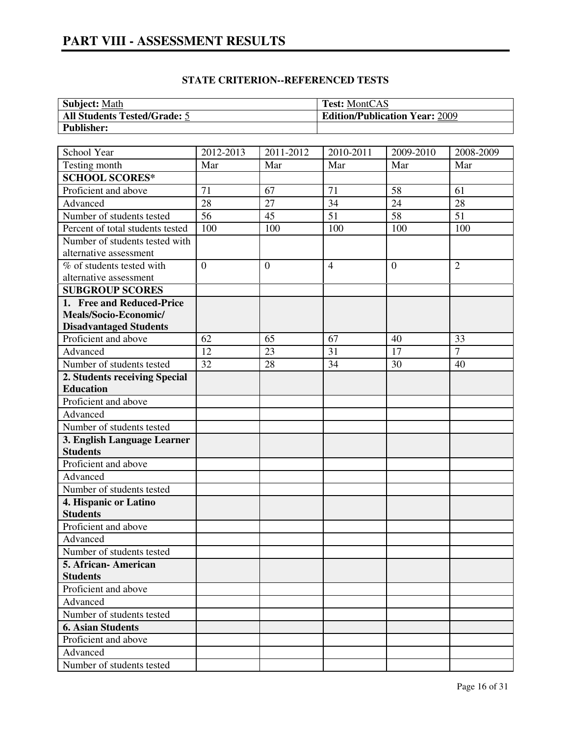# **PART VIII - ASSESSMENT RESULTS**

| <b>Subject: Math</b>                | <b>Test: MontCAS</b>                  |
|-------------------------------------|---------------------------------------|
| <b>All Students Tested/Grade: 5</b> | <b>Edition/Publication Year: 2009</b> |
| <b>Publisher:</b>                   |                                       |

| School Year                             | 2012-2013      | 2011-2012    | 2010-2011      | 2009-2010 | 2008-2009      |
|-----------------------------------------|----------------|--------------|----------------|-----------|----------------|
| Testing month                           | Mar            | Mar          | Mar            | Mar       | Mar            |
| <b>SCHOOL SCORES*</b>                   |                |              |                |           |                |
| Proficient and above                    | 71             | 67           | 71             | 58        | 61             |
| Advanced                                | 28             | 27           | 34             | 24        | 28             |
| Number of students tested               | 56             | 45           | 51             | 58        | 51             |
| Percent of total students tested        | 100            | 100          | 100            | 100       | 100            |
| Number of students tested with          |                |              |                |           |                |
| alternative assessment                  |                |              |                |           |                |
| $\overline{\%}$ of students tested with | $\overline{0}$ | $\mathbf{0}$ | $\overline{4}$ | $\theta$  | $\overline{2}$ |
| alternative assessment                  |                |              |                |           |                |
| <b>SUBGROUP SCORES</b>                  |                |              |                |           |                |
| 1. Free and Reduced-Price               |                |              |                |           |                |
| Meals/Socio-Economic/                   |                |              |                |           |                |
| <b>Disadvantaged Students</b>           |                |              |                |           |                |
| Proficient and above                    | 62             | 65           | 67             | 40        | 33             |
| Advanced                                | 12             | 23           | 31             | 17        | $\overline{7}$ |
| Number of students tested               | 32             | 28           | 34             | 30        | 40             |
| 2. Students receiving Special           |                |              |                |           |                |
| <b>Education</b>                        |                |              |                |           |                |
| Proficient and above                    |                |              |                |           |                |
| Advanced                                |                |              |                |           |                |
| Number of students tested               |                |              |                |           |                |
| 3. English Language Learner             |                |              |                |           |                |
| <b>Students</b>                         |                |              |                |           |                |
| Proficient and above                    |                |              |                |           |                |
| Advanced                                |                |              |                |           |                |
| Number of students tested               |                |              |                |           |                |
| 4. Hispanic or Latino                   |                |              |                |           |                |
| <b>Students</b>                         |                |              |                |           |                |
| Proficient and above                    |                |              |                |           |                |
| Advanced                                |                |              |                |           |                |
| Number of students tested               |                |              |                |           |                |
| 5. African-American                     |                |              |                |           |                |
| <b>Students</b>                         |                |              |                |           |                |
| Proficient and above                    |                |              |                |           |                |
| Advanced                                |                |              |                |           |                |
| Number of students tested               |                |              |                |           |                |
| <b>6. Asian Students</b>                |                |              |                |           |                |
| Proficient and above                    |                |              |                |           |                |
| Advanced                                |                |              |                |           |                |
| Number of students tested               |                |              |                |           |                |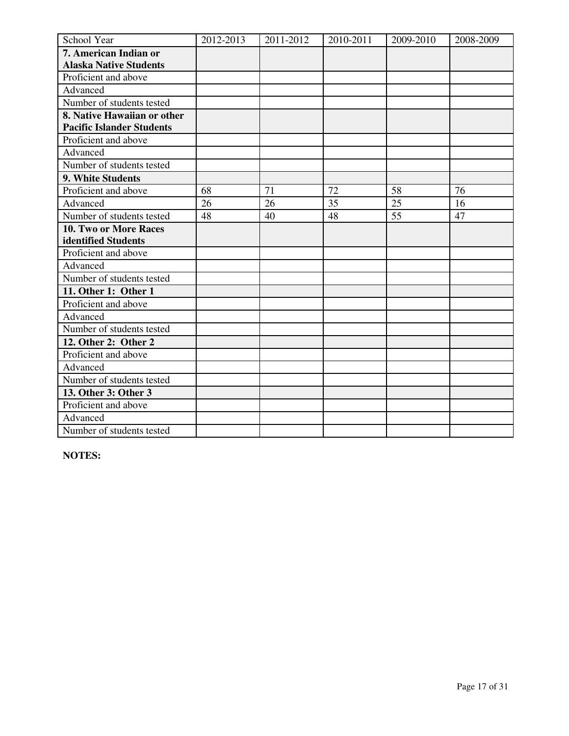| School Year                      | 2012-2013 | 2011-2012 | 2010-2011 | 2009-2010 | 2008-2009 |
|----------------------------------|-----------|-----------|-----------|-----------|-----------|
| 7. American Indian or            |           |           |           |           |           |
| <b>Alaska Native Students</b>    |           |           |           |           |           |
| Proficient and above             |           |           |           |           |           |
| Advanced                         |           |           |           |           |           |
| Number of students tested        |           |           |           |           |           |
| 8. Native Hawaiian or other      |           |           |           |           |           |
| <b>Pacific Islander Students</b> |           |           |           |           |           |
| Proficient and above             |           |           |           |           |           |
| Advanced                         |           |           |           |           |           |
| Number of students tested        |           |           |           |           |           |
| 9. White Students                |           |           |           |           |           |
| Proficient and above             | 68        | 71        | 72        | 58        | 76        |
| Advanced                         | 26        | 26        | 35        | 25        | 16        |
| Number of students tested        | 48        | 40        | 48        | 55        | 47        |
| 10. Two or More Races            |           |           |           |           |           |
| identified Students              |           |           |           |           |           |
| Proficient and above             |           |           |           |           |           |
| Advanced                         |           |           |           |           |           |
| Number of students tested        |           |           |           |           |           |
| 11. Other 1: Other 1             |           |           |           |           |           |
| Proficient and above             |           |           |           |           |           |
| Advanced                         |           |           |           |           |           |
| Number of students tested        |           |           |           |           |           |
| 12. Other 2: Other 2             |           |           |           |           |           |
| Proficient and above             |           |           |           |           |           |
| Advanced                         |           |           |           |           |           |
| Number of students tested        |           |           |           |           |           |
| 13. Other 3: Other 3             |           |           |           |           |           |
| Proficient and above             |           |           |           |           |           |
| Advanced                         |           |           |           |           |           |
| Number of students tested        |           |           |           |           |           |

**NOTES:**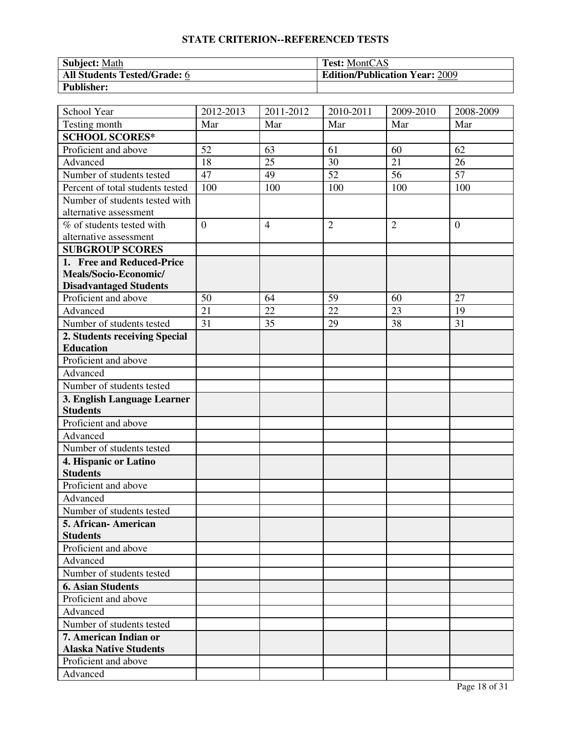| <b>Subject: Math</b>                | <b>Test:</b> MontCAS                  |
|-------------------------------------|---------------------------------------|
| <b>All Students Tested/Grade: 6</b> | <b>Edition/Publication Year: 2009</b> |
| <b>Publisher:</b>                   |                                       |

| School Year                      | 2012-2013      | 2011-2012      | 2010-2011       | 2009-2010       | 2008-2009        |
|----------------------------------|----------------|----------------|-----------------|-----------------|------------------|
| Testing month                    | Mar            | Mar            | Mar             | Mar             | Mar              |
| <b>SCHOOL SCORES*</b>            |                |                |                 |                 |                  |
| Proficient and above             | 52             | 63             | 61              | 60              | 62               |
| Advanced                         | 18             | 25             | 30              | 21              | 26               |
| Number of students tested        | 47             | 49             | $\overline{52}$ | $\overline{56}$ | $\overline{57}$  |
| Percent of total students tested | 100            | 100            | 100             | 100             | 100              |
| Number of students tested with   |                |                |                 |                 |                  |
| alternative assessment           |                |                |                 |                 |                  |
| % of students tested with        | $\overline{0}$ | $\overline{4}$ | $\overline{2}$  | $\overline{2}$  | $\boldsymbol{0}$ |
| alternative assessment           |                |                |                 |                 |                  |
| <b>SUBGROUP SCORES</b>           |                |                |                 |                 |                  |
| 1. Free and Reduced-Price        |                |                |                 |                 |                  |
| Meals/Socio-Economic/            |                |                |                 |                 |                  |
| <b>Disadvantaged Students</b>    |                |                |                 |                 |                  |
| Proficient and above             | 50             | 64             | 59              | 60              | 27               |
| Advanced                         | 21             | 22             | 22              | 23              | 19               |
| Number of students tested        | 31             | 35             | 29              | 38              | 31               |
| 2. Students receiving Special    |                |                |                 |                 |                  |
| <b>Education</b>                 |                |                |                 |                 |                  |
| Proficient and above             |                |                |                 |                 |                  |
| Advanced                         |                |                |                 |                 |                  |
| Number of students tested        |                |                |                 |                 |                  |
| 3. English Language Learner      |                |                |                 |                 |                  |
| <b>Students</b>                  |                |                |                 |                 |                  |
| Proficient and above             |                |                |                 |                 |                  |
| Advanced                         |                |                |                 |                 |                  |
| Number of students tested        |                |                |                 |                 |                  |
| 4. Hispanic or Latino            |                |                |                 |                 |                  |
| <b>Students</b>                  |                |                |                 |                 |                  |
| Proficient and above             |                |                |                 |                 |                  |
| Advanced                         |                |                |                 |                 |                  |
| Number of students tested        |                |                |                 |                 |                  |
| 5. African-American              |                |                |                 |                 |                  |
| <b>Students</b>                  |                |                |                 |                 |                  |
| Proficient and above             |                |                |                 |                 |                  |
| Advanced                         |                |                |                 |                 |                  |
| Number of students tested        |                |                |                 |                 |                  |
| <b>6. Asian Students</b>         |                |                |                 |                 |                  |
| Proficient and above             |                |                |                 |                 |                  |
| Advanced                         |                |                |                 |                 |                  |
| Number of students tested        |                |                |                 |                 |                  |
| 7. American Indian or            |                |                |                 |                 |                  |
| <b>Alaska Native Students</b>    |                |                |                 |                 |                  |
| Proficient and above             |                |                |                 |                 |                  |
| Advanced                         |                |                |                 |                 |                  |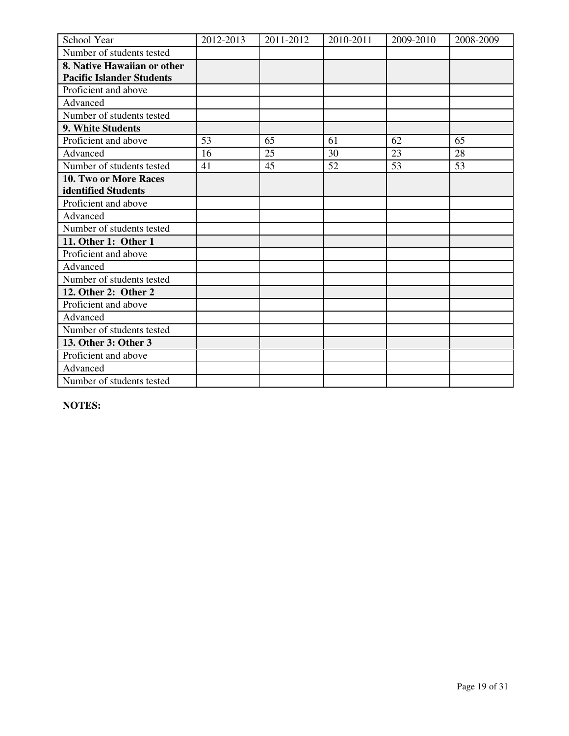| School Year                      | 2012-2013 | 2011-2012 | 2010-2011 | 2009-2010 | 2008-2009 |
|----------------------------------|-----------|-----------|-----------|-----------|-----------|
| Number of students tested        |           |           |           |           |           |
| 8. Native Hawaiian or other      |           |           |           |           |           |
| <b>Pacific Islander Students</b> |           |           |           |           |           |
| Proficient and above             |           |           |           |           |           |
| Advanced                         |           |           |           |           |           |
| Number of students tested        |           |           |           |           |           |
| 9. White Students                |           |           |           |           |           |
| Proficient and above             | 53        | 65        | 61        | 62        | 65        |
| Advanced                         | 16        | 25        | 30        | 23        | 28        |
| Number of students tested        | 41        | 45        | 52        | 53        | 53        |
| 10. Two or More Races            |           |           |           |           |           |
| identified Students              |           |           |           |           |           |
| Proficient and above             |           |           |           |           |           |
| Advanced                         |           |           |           |           |           |
| Number of students tested        |           |           |           |           |           |
| 11. Other 1: Other 1             |           |           |           |           |           |
| Proficient and above             |           |           |           |           |           |
| Advanced                         |           |           |           |           |           |
| Number of students tested        |           |           |           |           |           |
| 12. Other 2: Other 2             |           |           |           |           |           |
| Proficient and above             |           |           |           |           |           |
| Advanced                         |           |           |           |           |           |
| Number of students tested        |           |           |           |           |           |
| 13. Other 3: Other 3             |           |           |           |           |           |
| Proficient and above             |           |           |           |           |           |
| Advanced                         |           |           |           |           |           |
| Number of students tested        |           |           |           |           |           |

**NOTES:**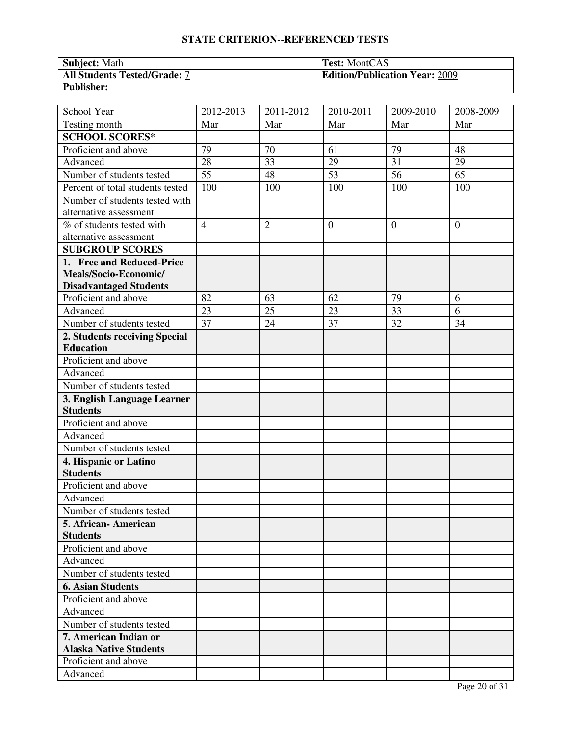| <b>Subject: Math</b>                | <b>Test:</b> MontCAS                  |
|-------------------------------------|---------------------------------------|
| <b>All Students Tested/Grade: 7</b> | <b>Edition/Publication Year: 2009</b> |
| <b>Publisher:</b>                   |                                       |

| School Year                      | 2012-2013       | 2011-2012      | 2010-2011        | $2009 - 2010$   | 2008-2009       |
|----------------------------------|-----------------|----------------|------------------|-----------------|-----------------|
| Testing month                    | Mar             | Mar            | Mar              | Mar             | Mar             |
| <b>SCHOOL SCORES*</b>            |                 |                |                  |                 |                 |
| Proficient and above             | 79              | 70             | 61               | 79              | 48              |
| Advanced                         | 28              | 33             | 29               | 31              | 29              |
| Number of students tested        | $\overline{55}$ | 48             | $\overline{53}$  | $\overline{56}$ | $\overline{65}$ |
| Percent of total students tested | 100             | 100            | 100              | 100             | 100             |
| Number of students tested with   |                 |                |                  |                 |                 |
| alternative assessment           |                 |                |                  |                 |                 |
| % of students tested with        | $\overline{4}$  | $\overline{2}$ | $\boldsymbol{0}$ | $\theta$        | $\overline{0}$  |
| alternative assessment           |                 |                |                  |                 |                 |
| <b>SUBGROUP SCORES</b>           |                 |                |                  |                 |                 |
| 1. Free and Reduced-Price        |                 |                |                  |                 |                 |
| Meals/Socio-Economic/            |                 |                |                  |                 |                 |
| <b>Disadvantaged Students</b>    |                 |                |                  |                 |                 |
| Proficient and above             | 82              | 63             | 62               | 79              | 6               |
| Advanced                         | 23              | 25             | 23               | 33              | 6               |
| Number of students tested        | 37              | 24             | 37               | 32              | 34              |
| 2. Students receiving Special    |                 |                |                  |                 |                 |
| <b>Education</b>                 |                 |                |                  |                 |                 |
| Proficient and above             |                 |                |                  |                 |                 |
| Advanced                         |                 |                |                  |                 |                 |
| Number of students tested        |                 |                |                  |                 |                 |
| 3. English Language Learner      |                 |                |                  |                 |                 |
| <b>Students</b>                  |                 |                |                  |                 |                 |
| Proficient and above             |                 |                |                  |                 |                 |
| Advanced                         |                 |                |                  |                 |                 |
| Number of students tested        |                 |                |                  |                 |                 |
| 4. Hispanic or Latino            |                 |                |                  |                 |                 |
| <b>Students</b>                  |                 |                |                  |                 |                 |
| Proficient and above             |                 |                |                  |                 |                 |
| Advanced                         |                 |                |                  |                 |                 |
| Number of students tested        |                 |                |                  |                 |                 |
| 5. African - American            |                 |                |                  |                 |                 |
| <b>Students</b>                  |                 |                |                  |                 |                 |
| Proficient and above             |                 |                |                  |                 |                 |
| Advanced                         |                 |                |                  |                 |                 |
| Number of students tested        |                 |                |                  |                 |                 |
| <b>6. Asian Students</b>         |                 |                |                  |                 |                 |
| Proficient and above             |                 |                |                  |                 |                 |
| Advanced                         |                 |                |                  |                 |                 |
| Number of students tested        |                 |                |                  |                 |                 |
| 7. American Indian or            |                 |                |                  |                 |                 |
| <b>Alaska Native Students</b>    |                 |                |                  |                 |                 |
| Proficient and above             |                 |                |                  |                 |                 |
| Advanced                         |                 |                |                  |                 |                 |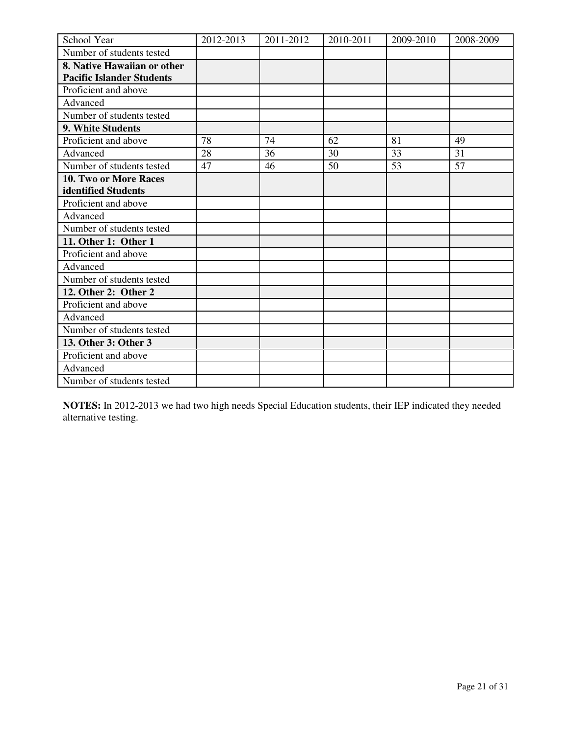| School Year                      | 2012-2013 | 2011-2012 | 2010-2011 | 2009-2010 | 2008-2009 |
|----------------------------------|-----------|-----------|-----------|-----------|-----------|
| Number of students tested        |           |           |           |           |           |
| 8. Native Hawaiian or other      |           |           |           |           |           |
| <b>Pacific Islander Students</b> |           |           |           |           |           |
| Proficient and above             |           |           |           |           |           |
| Advanced                         |           |           |           |           |           |
| Number of students tested        |           |           |           |           |           |
| 9. White Students                |           |           |           |           |           |
| Proficient and above             | 78        | 74        | 62        | 81        | 49        |
| Advanced                         | 28        | 36        | 30        | 33        | 31        |
| Number of students tested        | 47        | 46        | 50        | 53        | 57        |
| 10. Two or More Races            |           |           |           |           |           |
| identified Students              |           |           |           |           |           |
| Proficient and above             |           |           |           |           |           |
| Advanced                         |           |           |           |           |           |
| Number of students tested        |           |           |           |           |           |
| 11. Other 1: Other 1             |           |           |           |           |           |
| Proficient and above             |           |           |           |           |           |
| Advanced                         |           |           |           |           |           |
| Number of students tested        |           |           |           |           |           |
| 12. Other 2: Other 2             |           |           |           |           |           |
| Proficient and above             |           |           |           |           |           |
| Advanced                         |           |           |           |           |           |
| Number of students tested        |           |           |           |           |           |
| 13. Other 3: Other 3             |           |           |           |           |           |
| Proficient and above             |           |           |           |           |           |
| Advanced                         |           |           |           |           |           |
| Number of students tested        |           |           |           |           |           |

**NOTES:** In 2012-2013 we had two high needs Special Education students, their IEP indicated they needed alternative testing.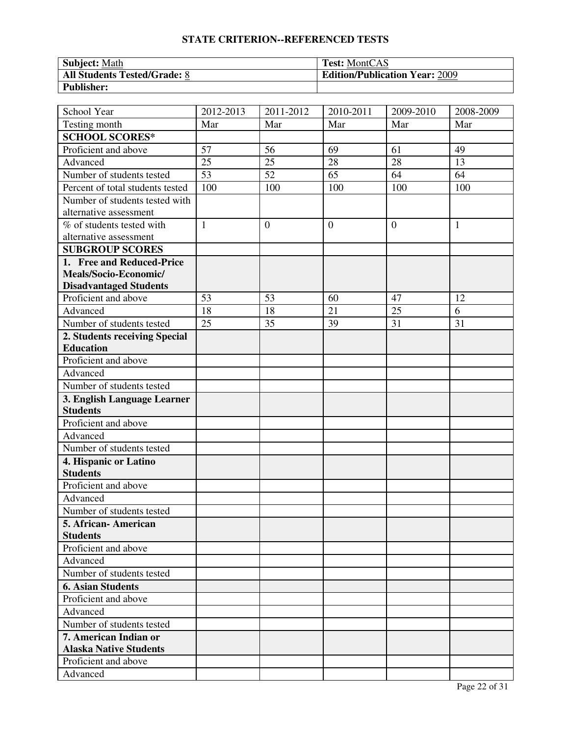| <b>Subject: Math</b>                | <b>Test:</b> MontCAS                  |
|-------------------------------------|---------------------------------------|
| <b>All Students Tested/Grade: 8</b> | <b>Edition/Publication Year: 2009</b> |
| <b>Publisher:</b>                   |                                       |

| School Year                                            | 2012-2013       | 2011-2012       | 2010-2011        | $2009 - 2010$ | 2008-2009    |
|--------------------------------------------------------|-----------------|-----------------|------------------|---------------|--------------|
| Testing month                                          | Mar             | Mar             | Mar              | Mar           | Mar          |
| <b>SCHOOL SCORES*</b>                                  |                 |                 |                  |               |              |
| Proficient and above                                   | 57              | 56              | 69               | 61            | 49           |
| Advanced                                               | 25              | 25              | 28               | 28            | 13           |
| Number of students tested                              | $\overline{53}$ | $\overline{52}$ | 65               | 64            | 64           |
| Percent of total students tested                       | 100             | 100             | 100              | 100           | 100          |
| Number of students tested with                         |                 |                 |                  |               |              |
| alternative assessment                                 |                 |                 |                  |               |              |
| % of students tested with                              | $\mathbf{1}$    | $\mathbf{0}$    | $\boldsymbol{0}$ | $\theta$      | $\mathbf{1}$ |
| alternative assessment                                 |                 |                 |                  |               |              |
| <b>SUBGROUP SCORES</b>                                 |                 |                 |                  |               |              |
| 1. Free and Reduced-Price                              |                 |                 |                  |               |              |
| Meals/Socio-Economic/                                  |                 |                 |                  |               |              |
| <b>Disadvantaged Students</b>                          |                 |                 |                  |               |              |
| Proficient and above                                   | 53              | 53              | 60               | 47            | 12           |
| Advanced                                               | 18              | 18              | 21               | 25            | 6            |
| Number of students tested                              | $\overline{25}$ | 35              | 39               | 31            | 31           |
| 2. Students receiving Special                          |                 |                 |                  |               |              |
| <b>Education</b>                                       |                 |                 |                  |               |              |
| Proficient and above                                   |                 |                 |                  |               |              |
| Advanced                                               |                 |                 |                  |               |              |
| Number of students tested                              |                 |                 |                  |               |              |
| 3. English Language Learner                            |                 |                 |                  |               |              |
| <b>Students</b>                                        |                 |                 |                  |               |              |
| Proficient and above                                   |                 |                 |                  |               |              |
| Advanced                                               |                 |                 |                  |               |              |
| Number of students tested                              |                 |                 |                  |               |              |
| 4. Hispanic or Latino                                  |                 |                 |                  |               |              |
| <b>Students</b>                                        |                 |                 |                  |               |              |
| Proficient and above                                   |                 |                 |                  |               |              |
| Advanced                                               |                 |                 |                  |               |              |
| Number of students tested                              |                 |                 |                  |               |              |
| 5. African-American                                    |                 |                 |                  |               |              |
| <b>Students</b>                                        |                 |                 |                  |               |              |
| Proficient and above                                   |                 |                 |                  |               |              |
| Advanced                                               |                 |                 |                  |               |              |
| Number of students tested                              |                 |                 |                  |               |              |
| <b>6. Asian Students</b>                               |                 |                 |                  |               |              |
| Proficient and above                                   |                 |                 |                  |               |              |
| Advanced                                               |                 |                 |                  |               |              |
| Number of students tested                              |                 |                 |                  |               |              |
| 7. American Indian or<br><b>Alaska Native Students</b> |                 |                 |                  |               |              |
| Proficient and above                                   |                 |                 |                  |               |              |
| Advanced                                               |                 |                 |                  |               |              |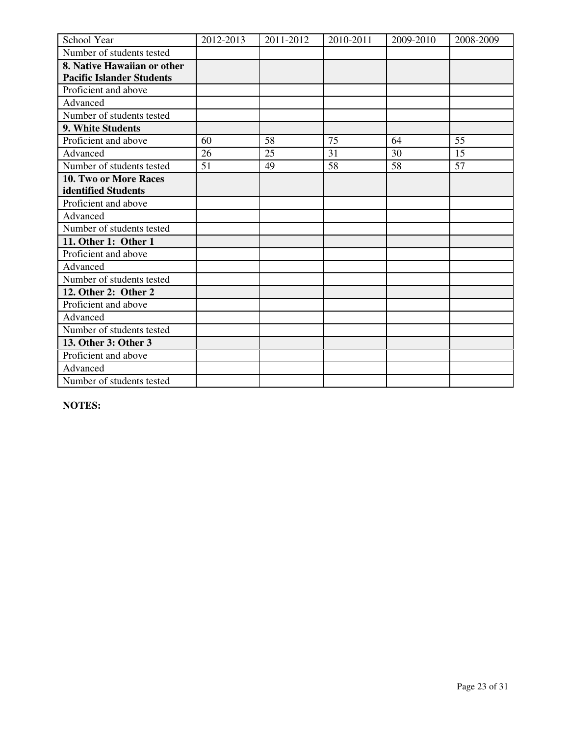| School Year                      | 2012-2013 | 2011-2012 | 2010-2011 | 2009-2010 | 2008-2009 |
|----------------------------------|-----------|-----------|-----------|-----------|-----------|
| Number of students tested        |           |           |           |           |           |
| 8. Native Hawaiian or other      |           |           |           |           |           |
| <b>Pacific Islander Students</b> |           |           |           |           |           |
| Proficient and above             |           |           |           |           |           |
| Advanced                         |           |           |           |           |           |
| Number of students tested        |           |           |           |           |           |
| 9. White Students                |           |           |           |           |           |
| Proficient and above             | 60        | 58        | 75        | 64        | 55        |
| Advanced                         | 26        | 25        | 31        | 30        | 15        |
| Number of students tested        | 51        | 49        | 58        | 58        | 57        |
| 10. Two or More Races            |           |           |           |           |           |
| identified Students              |           |           |           |           |           |
| Proficient and above             |           |           |           |           |           |
| Advanced                         |           |           |           |           |           |
| Number of students tested        |           |           |           |           |           |
| 11. Other 1: Other 1             |           |           |           |           |           |
| Proficient and above             |           |           |           |           |           |
| Advanced                         |           |           |           |           |           |
| Number of students tested        |           |           |           |           |           |
| 12. Other 2: Other 2             |           |           |           |           |           |
| Proficient and above             |           |           |           |           |           |
| Advanced                         |           |           |           |           |           |
| Number of students tested        |           |           |           |           |           |
| 13. Other 3: Other 3             |           |           |           |           |           |
| Proficient and above             |           |           |           |           |           |
| Advanced                         |           |           |           |           |           |
| Number of students tested        |           |           |           |           |           |

**NOTES:**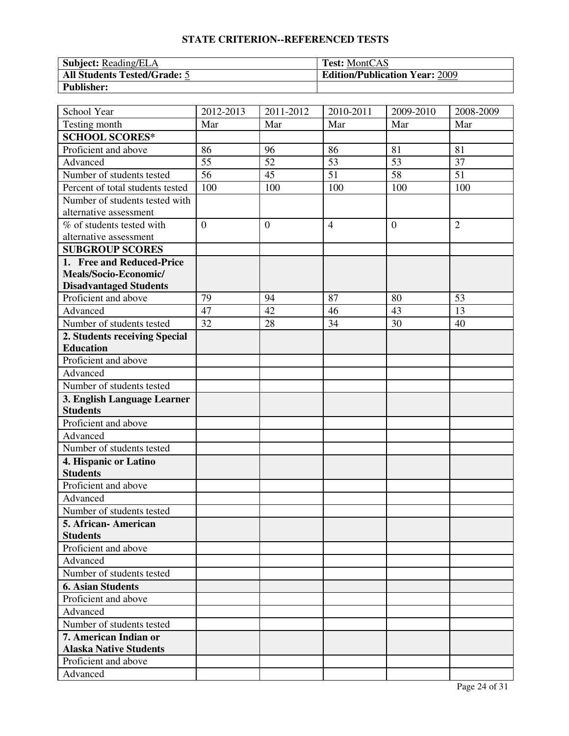| <b>Subject:</b> Reading/ELA  | <b>Test:</b> MontCAS                  |
|------------------------------|---------------------------------------|
| All Students Tested/Grade: 5 | <b>Edition/Publication Year: 2009</b> |
| <b>Publisher:</b>            |                                       |

| School Year                                            | 2012-2013       | 2011-2012    | 2010-2011       | $2009 - 2010$   | 2008-2009       |
|--------------------------------------------------------|-----------------|--------------|-----------------|-----------------|-----------------|
| Testing month                                          | Mar             | Mar          | Mar             | Mar             | Mar             |
| <b>SCHOOL SCORES*</b>                                  |                 |              |                 |                 |                 |
| Proficient and above                                   | 86              | 96           | 86              | 81              | 81              |
| Advanced                                               | 55              | 52           | 53              | 53              | 37              |
| Number of students tested                              | $\overline{56}$ | 45           | $\overline{51}$ | $\overline{58}$ | $\overline{51}$ |
| Percent of total students tested                       | 100             | 100          | 100             | 100             | 100             |
| Number of students tested with                         |                 |              |                 |                 |                 |
| alternative assessment                                 |                 |              |                 |                 |                 |
| % of students tested with                              | $\overline{0}$  | $\mathbf{0}$ | $\overline{4}$  | $\theta$        | $\overline{2}$  |
| alternative assessment                                 |                 |              |                 |                 |                 |
| <b>SUBGROUP SCORES</b>                                 |                 |              |                 |                 |                 |
| 1. Free and Reduced-Price                              |                 |              |                 |                 |                 |
| Meals/Socio-Economic/                                  |                 |              |                 |                 |                 |
| <b>Disadvantaged Students</b>                          |                 |              |                 |                 |                 |
| Proficient and above                                   | 79              | 94           | 87              | 80              | 53              |
| Advanced                                               | 47              | 42           | 46              | 43              | 13              |
| Number of students tested                              | 32              | 28           | 34              | 30              | 40              |
| 2. Students receiving Special                          |                 |              |                 |                 |                 |
| <b>Education</b>                                       |                 |              |                 |                 |                 |
| Proficient and above                                   |                 |              |                 |                 |                 |
| Advanced                                               |                 |              |                 |                 |                 |
| Number of students tested                              |                 |              |                 |                 |                 |
| 3. English Language Learner                            |                 |              |                 |                 |                 |
| <b>Students</b>                                        |                 |              |                 |                 |                 |
| Proficient and above                                   |                 |              |                 |                 |                 |
| Advanced                                               |                 |              |                 |                 |                 |
| Number of students tested                              |                 |              |                 |                 |                 |
| 4. Hispanic or Latino                                  |                 |              |                 |                 |                 |
| <b>Students</b>                                        |                 |              |                 |                 |                 |
| Proficient and above                                   |                 |              |                 |                 |                 |
| Advanced                                               |                 |              |                 |                 |                 |
| Number of students tested                              |                 |              |                 |                 |                 |
| 5. African-American                                    |                 |              |                 |                 |                 |
| <b>Students</b>                                        |                 |              |                 |                 |                 |
| Proficient and above                                   |                 |              |                 |                 |                 |
| Advanced                                               |                 |              |                 |                 |                 |
| Number of students tested                              |                 |              |                 |                 |                 |
| <b>6. Asian Students</b>                               |                 |              |                 |                 |                 |
| Proficient and above                                   |                 |              |                 |                 |                 |
| Advanced                                               |                 |              |                 |                 |                 |
| Number of students tested                              |                 |              |                 |                 |                 |
| 7. American Indian or<br><b>Alaska Native Students</b> |                 |              |                 |                 |                 |
| Proficient and above                                   |                 |              |                 |                 |                 |
| Advanced                                               |                 |              |                 |                 |                 |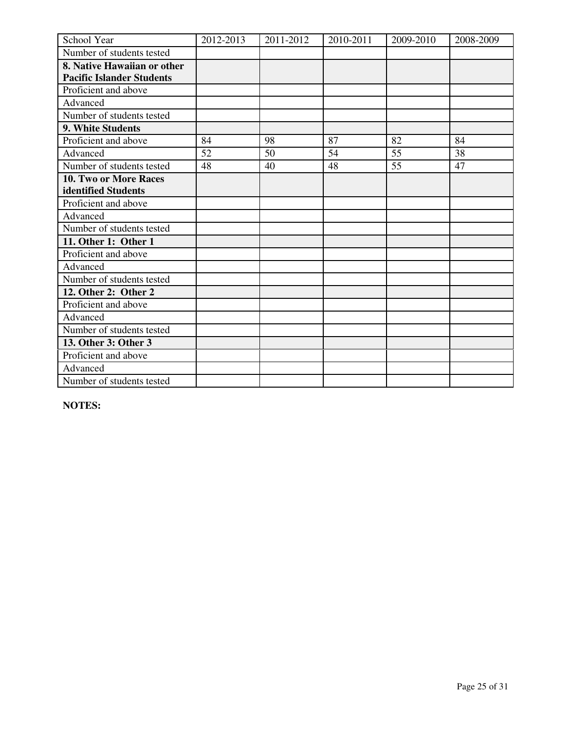| School Year                      | 2012-2013 | 2011-2012 | 2010-2011 | 2009-2010 | 2008-2009 |
|----------------------------------|-----------|-----------|-----------|-----------|-----------|
| Number of students tested        |           |           |           |           |           |
| 8. Native Hawaiian or other      |           |           |           |           |           |
| <b>Pacific Islander Students</b> |           |           |           |           |           |
| Proficient and above             |           |           |           |           |           |
| Advanced                         |           |           |           |           |           |
| Number of students tested        |           |           |           |           |           |
| 9. White Students                |           |           |           |           |           |
| Proficient and above             | 84        | 98        | 87        | 82        | 84        |
| Advanced                         | 52        | 50        | 54        | 55        | 38        |
| Number of students tested        | 48        | 40        | 48        | 55        | 47        |
| 10. Two or More Races            |           |           |           |           |           |
| identified Students              |           |           |           |           |           |
| Proficient and above             |           |           |           |           |           |
| Advanced                         |           |           |           |           |           |
| Number of students tested        |           |           |           |           |           |
| 11. Other 1: Other 1             |           |           |           |           |           |
| Proficient and above             |           |           |           |           |           |
| Advanced                         |           |           |           |           |           |
| Number of students tested        |           |           |           |           |           |
| 12. Other 2: Other 2             |           |           |           |           |           |
| Proficient and above             |           |           |           |           |           |
| Advanced                         |           |           |           |           |           |
| Number of students tested        |           |           |           |           |           |
| 13. Other 3: Other 3             |           |           |           |           |           |
| Proficient and above             |           |           |           |           |           |
| Advanced                         |           |           |           |           |           |
| Number of students tested        |           |           |           |           |           |

**NOTES:**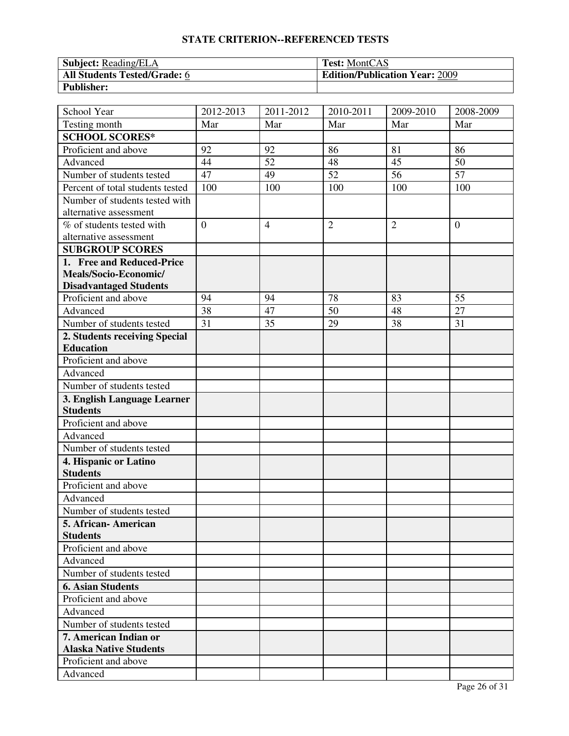| <b>Subject:</b> Reading/ELA         | <b>Test:</b> MontCAS                  |
|-------------------------------------|---------------------------------------|
| <b>All Students Tested/Grade: 6</b> | <b>Edition/Publication Year: 2009</b> |
| <b>Publisher:</b>                   |                                       |

| Testing month<br>Mar<br>Mar<br>Mar<br>Mar<br>Mar<br><b>SCHOOL SCORES*</b><br>Proficient and above<br>92<br>92<br>86<br>81<br>86<br>Advanced<br>44<br>52<br>48<br>45<br>50<br>$\overline{52}$<br>$\overline{56}$<br>$\overline{57}$<br>47<br>49<br>Number of students tested<br>100<br>100<br>100<br>100<br>100<br>Percent of total students tested<br>Number of students tested with<br>alternative assessment<br>$\overline{0}$<br>$\overline{2}$<br>$\overline{2}$<br>% of students tested with<br>$\overline{4}$<br>$\overline{0}$<br>alternative assessment<br><b>SUBGROUP SCORES</b><br>1. Free and Reduced-Price<br>Meals/Socio-Economic/<br><b>Disadvantaged Students</b><br>Proficient and above<br>94<br>78<br>83<br>55<br>94<br>38<br>Advanced<br>47<br>50<br>48<br>27<br>Number of students tested<br>31<br>38<br>35<br>29<br>31<br>2. Students receiving Special<br><b>Education</b><br>Proficient and above<br>Advanced<br>Number of students tested |
|-------------------------------------------------------------------------------------------------------------------------------------------------------------------------------------------------------------------------------------------------------------------------------------------------------------------------------------------------------------------------------------------------------------------------------------------------------------------------------------------------------------------------------------------------------------------------------------------------------------------------------------------------------------------------------------------------------------------------------------------------------------------------------------------------------------------------------------------------------------------------------------------------------------------------------------------------------------------|
|                                                                                                                                                                                                                                                                                                                                                                                                                                                                                                                                                                                                                                                                                                                                                                                                                                                                                                                                                                   |
|                                                                                                                                                                                                                                                                                                                                                                                                                                                                                                                                                                                                                                                                                                                                                                                                                                                                                                                                                                   |
|                                                                                                                                                                                                                                                                                                                                                                                                                                                                                                                                                                                                                                                                                                                                                                                                                                                                                                                                                                   |
|                                                                                                                                                                                                                                                                                                                                                                                                                                                                                                                                                                                                                                                                                                                                                                                                                                                                                                                                                                   |
|                                                                                                                                                                                                                                                                                                                                                                                                                                                                                                                                                                                                                                                                                                                                                                                                                                                                                                                                                                   |
|                                                                                                                                                                                                                                                                                                                                                                                                                                                                                                                                                                                                                                                                                                                                                                                                                                                                                                                                                                   |
|                                                                                                                                                                                                                                                                                                                                                                                                                                                                                                                                                                                                                                                                                                                                                                                                                                                                                                                                                                   |
|                                                                                                                                                                                                                                                                                                                                                                                                                                                                                                                                                                                                                                                                                                                                                                                                                                                                                                                                                                   |
|                                                                                                                                                                                                                                                                                                                                                                                                                                                                                                                                                                                                                                                                                                                                                                                                                                                                                                                                                                   |
|                                                                                                                                                                                                                                                                                                                                                                                                                                                                                                                                                                                                                                                                                                                                                                                                                                                                                                                                                                   |
|                                                                                                                                                                                                                                                                                                                                                                                                                                                                                                                                                                                                                                                                                                                                                                                                                                                                                                                                                                   |
|                                                                                                                                                                                                                                                                                                                                                                                                                                                                                                                                                                                                                                                                                                                                                                                                                                                                                                                                                                   |
|                                                                                                                                                                                                                                                                                                                                                                                                                                                                                                                                                                                                                                                                                                                                                                                                                                                                                                                                                                   |
|                                                                                                                                                                                                                                                                                                                                                                                                                                                                                                                                                                                                                                                                                                                                                                                                                                                                                                                                                                   |
|                                                                                                                                                                                                                                                                                                                                                                                                                                                                                                                                                                                                                                                                                                                                                                                                                                                                                                                                                                   |
|                                                                                                                                                                                                                                                                                                                                                                                                                                                                                                                                                                                                                                                                                                                                                                                                                                                                                                                                                                   |
|                                                                                                                                                                                                                                                                                                                                                                                                                                                                                                                                                                                                                                                                                                                                                                                                                                                                                                                                                                   |
|                                                                                                                                                                                                                                                                                                                                                                                                                                                                                                                                                                                                                                                                                                                                                                                                                                                                                                                                                                   |
|                                                                                                                                                                                                                                                                                                                                                                                                                                                                                                                                                                                                                                                                                                                                                                                                                                                                                                                                                                   |
|                                                                                                                                                                                                                                                                                                                                                                                                                                                                                                                                                                                                                                                                                                                                                                                                                                                                                                                                                                   |
|                                                                                                                                                                                                                                                                                                                                                                                                                                                                                                                                                                                                                                                                                                                                                                                                                                                                                                                                                                   |
|                                                                                                                                                                                                                                                                                                                                                                                                                                                                                                                                                                                                                                                                                                                                                                                                                                                                                                                                                                   |
| 3. English Language Learner<br><b>Students</b>                                                                                                                                                                                                                                                                                                                                                                                                                                                                                                                                                                                                                                                                                                                                                                                                                                                                                                                    |
|                                                                                                                                                                                                                                                                                                                                                                                                                                                                                                                                                                                                                                                                                                                                                                                                                                                                                                                                                                   |
| Proficient and above<br>Advanced                                                                                                                                                                                                                                                                                                                                                                                                                                                                                                                                                                                                                                                                                                                                                                                                                                                                                                                                  |
|                                                                                                                                                                                                                                                                                                                                                                                                                                                                                                                                                                                                                                                                                                                                                                                                                                                                                                                                                                   |
| Number of students tested                                                                                                                                                                                                                                                                                                                                                                                                                                                                                                                                                                                                                                                                                                                                                                                                                                                                                                                                         |
| 4. Hispanic or Latino<br><b>Students</b>                                                                                                                                                                                                                                                                                                                                                                                                                                                                                                                                                                                                                                                                                                                                                                                                                                                                                                                          |
| Proficient and above                                                                                                                                                                                                                                                                                                                                                                                                                                                                                                                                                                                                                                                                                                                                                                                                                                                                                                                                              |
| Advanced                                                                                                                                                                                                                                                                                                                                                                                                                                                                                                                                                                                                                                                                                                                                                                                                                                                                                                                                                          |
| Number of students tested                                                                                                                                                                                                                                                                                                                                                                                                                                                                                                                                                                                                                                                                                                                                                                                                                                                                                                                                         |
| 5. African - American                                                                                                                                                                                                                                                                                                                                                                                                                                                                                                                                                                                                                                                                                                                                                                                                                                                                                                                                             |
| <b>Students</b>                                                                                                                                                                                                                                                                                                                                                                                                                                                                                                                                                                                                                                                                                                                                                                                                                                                                                                                                                   |
| Proficient and above                                                                                                                                                                                                                                                                                                                                                                                                                                                                                                                                                                                                                                                                                                                                                                                                                                                                                                                                              |
| Advanced                                                                                                                                                                                                                                                                                                                                                                                                                                                                                                                                                                                                                                                                                                                                                                                                                                                                                                                                                          |
| Number of students tested                                                                                                                                                                                                                                                                                                                                                                                                                                                                                                                                                                                                                                                                                                                                                                                                                                                                                                                                         |
| <b>6. Asian Students</b>                                                                                                                                                                                                                                                                                                                                                                                                                                                                                                                                                                                                                                                                                                                                                                                                                                                                                                                                          |
| Proficient and above                                                                                                                                                                                                                                                                                                                                                                                                                                                                                                                                                                                                                                                                                                                                                                                                                                                                                                                                              |
| Advanced                                                                                                                                                                                                                                                                                                                                                                                                                                                                                                                                                                                                                                                                                                                                                                                                                                                                                                                                                          |
| Number of students tested                                                                                                                                                                                                                                                                                                                                                                                                                                                                                                                                                                                                                                                                                                                                                                                                                                                                                                                                         |
| 7. American Indian or                                                                                                                                                                                                                                                                                                                                                                                                                                                                                                                                                                                                                                                                                                                                                                                                                                                                                                                                             |
| <b>Alaska Native Students</b>                                                                                                                                                                                                                                                                                                                                                                                                                                                                                                                                                                                                                                                                                                                                                                                                                                                                                                                                     |
| Proficient and above                                                                                                                                                                                                                                                                                                                                                                                                                                                                                                                                                                                                                                                                                                                                                                                                                                                                                                                                              |
| Advanced                                                                                                                                                                                                                                                                                                                                                                                                                                                                                                                                                                                                                                                                                                                                                                                                                                                                                                                                                          |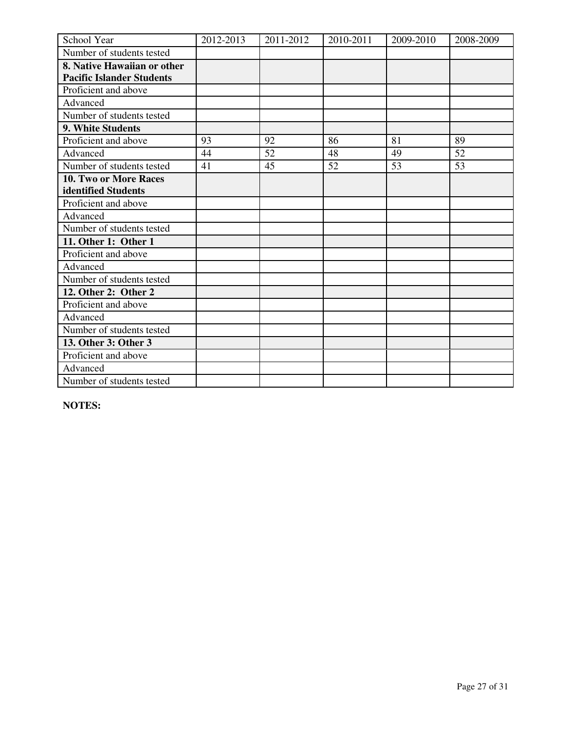| School Year                      | 2012-2013 | 2011-2012 | 2010-2011 | 2009-2010 | 2008-2009 |
|----------------------------------|-----------|-----------|-----------|-----------|-----------|
| Number of students tested        |           |           |           |           |           |
| 8. Native Hawaiian or other      |           |           |           |           |           |
| <b>Pacific Islander Students</b> |           |           |           |           |           |
| Proficient and above             |           |           |           |           |           |
| Advanced                         |           |           |           |           |           |
| Number of students tested        |           |           |           |           |           |
| 9. White Students                |           |           |           |           |           |
| Proficient and above             | 93        | 92        | 86        | 81        | 89        |
| Advanced                         | 44        | 52        | 48        | 49        | 52        |
| Number of students tested        | 41        | 45        | 52        | 53        | 53        |
| 10. Two or More Races            |           |           |           |           |           |
| identified Students              |           |           |           |           |           |
| Proficient and above             |           |           |           |           |           |
| Advanced                         |           |           |           |           |           |
| Number of students tested        |           |           |           |           |           |
| 11. Other 1: Other 1             |           |           |           |           |           |
| Proficient and above             |           |           |           |           |           |
| Advanced                         |           |           |           |           |           |
| Number of students tested        |           |           |           |           |           |
| 12. Other 2: Other 2             |           |           |           |           |           |
| Proficient and above             |           |           |           |           |           |
| Advanced                         |           |           |           |           |           |
| Number of students tested        |           |           |           |           |           |
| 13. Other 3: Other 3             |           |           |           |           |           |
| Proficient and above             |           |           |           |           |           |
| Advanced                         |           |           |           |           |           |
| Number of students tested        |           |           |           |           |           |

**NOTES:**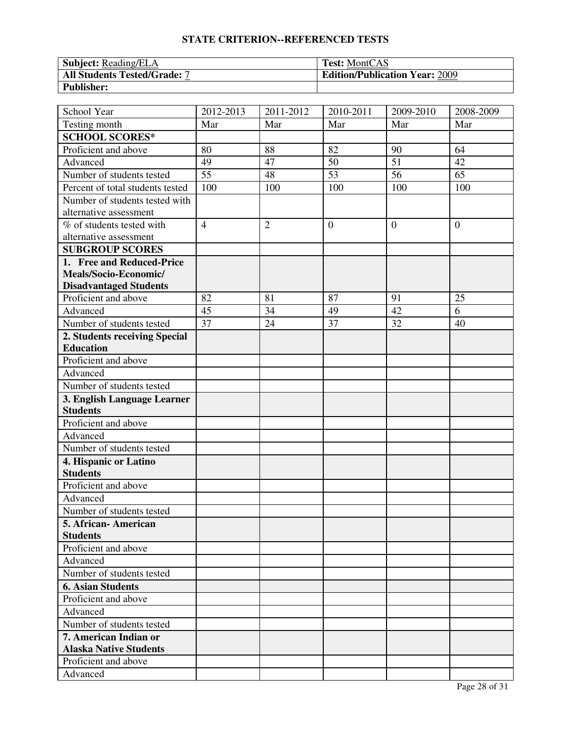| <b>Subject:</b> Reading/ELA         | <b>Test:</b> MontCAS                  |
|-------------------------------------|---------------------------------------|
| <b>All Students Tested/Grade: 7</b> | <b>Edition/Publication Year: 2009</b> |
| <b>Publisher:</b>                   |                                       |

| School Year                                            | 2012-2013       | 2011-2012      | 2010-2011       | $\overline{2009}$ -2010 | 2008-2009       |
|--------------------------------------------------------|-----------------|----------------|-----------------|-------------------------|-----------------|
| Testing month                                          | Mar             | Mar            | Mar             | Mar                     | Mar             |
| <b>SCHOOL SCORES*</b>                                  |                 |                |                 |                         |                 |
| Proficient and above                                   | 80              | 88             | 82              | 90                      | 64              |
| Advanced                                               | 49              | 47             | 50              | 51                      | 42              |
| Number of students tested                              | $\overline{55}$ | 48             | $\overline{53}$ | $\overline{56}$         | $\overline{65}$ |
| Percent of total students tested                       | 100             | 100            | 100             | 100                     | 100             |
| Number of students tested with                         |                 |                |                 |                         |                 |
| alternative assessment                                 |                 |                |                 |                         |                 |
| % of students tested with                              | $\overline{4}$  | $\overline{2}$ | $\overline{0}$  | $\theta$                | $\overline{0}$  |
| alternative assessment                                 |                 |                |                 |                         |                 |
| <b>SUBGROUP SCORES</b>                                 |                 |                |                 |                         |                 |
| 1. Free and Reduced-Price                              |                 |                |                 |                         |                 |
| Meals/Socio-Economic/                                  |                 |                |                 |                         |                 |
| <b>Disadvantaged Students</b>                          |                 |                |                 |                         |                 |
| Proficient and above                                   | 82              | 81             | 87              | 91                      | 25              |
| Advanced                                               | 45              | 34             | 49              | 42                      | 6               |
| Number of students tested                              | 37              | 24             | 37              | 32                      | 40              |
| 2. Students receiving Special                          |                 |                |                 |                         |                 |
| <b>Education</b>                                       |                 |                |                 |                         |                 |
| Proficient and above                                   |                 |                |                 |                         |                 |
| Advanced                                               |                 |                |                 |                         |                 |
| Number of students tested                              |                 |                |                 |                         |                 |
| 3. English Language Learner                            |                 |                |                 |                         |                 |
| <b>Students</b>                                        |                 |                |                 |                         |                 |
| Proficient and above                                   |                 |                |                 |                         |                 |
| Advanced                                               |                 |                |                 |                         |                 |
| Number of students tested                              |                 |                |                 |                         |                 |
| 4. Hispanic or Latino                                  |                 |                |                 |                         |                 |
| <b>Students</b>                                        |                 |                |                 |                         |                 |
| Proficient and above                                   |                 |                |                 |                         |                 |
| Advanced                                               |                 |                |                 |                         |                 |
| Number of students tested                              |                 |                |                 |                         |                 |
| 5. African-American                                    |                 |                |                 |                         |                 |
| <b>Students</b>                                        |                 |                |                 |                         |                 |
| Proficient and above                                   |                 |                |                 |                         |                 |
| Advanced                                               |                 |                |                 |                         |                 |
| Number of students tested                              |                 |                |                 |                         |                 |
| <b>6. Asian Students</b>                               |                 |                |                 |                         |                 |
| Proficient and above                                   |                 |                |                 |                         |                 |
| Advanced                                               |                 |                |                 |                         |                 |
| Number of students tested                              |                 |                |                 |                         |                 |
| 7. American Indian or<br><b>Alaska Native Students</b> |                 |                |                 |                         |                 |
| Proficient and above                                   |                 |                |                 |                         |                 |
| Advanced                                               |                 |                |                 |                         |                 |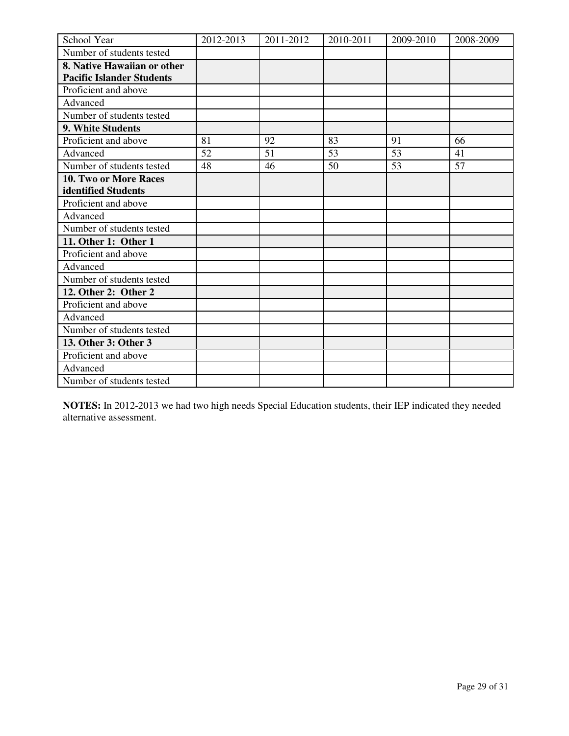| School Year                      | 2012-2013 | 2011-2012 | 2010-2011 | 2009-2010 | 2008-2009 |
|----------------------------------|-----------|-----------|-----------|-----------|-----------|
| Number of students tested        |           |           |           |           |           |
| 8. Native Hawaiian or other      |           |           |           |           |           |
| <b>Pacific Islander Students</b> |           |           |           |           |           |
| Proficient and above             |           |           |           |           |           |
| Advanced                         |           |           |           |           |           |
| Number of students tested        |           |           |           |           |           |
| 9. White Students                |           |           |           |           |           |
| Proficient and above             | 81        | 92        | 83        | 91        | 66        |
| Advanced                         | 52        | 51        | 53        | 53        | 41        |
| Number of students tested        | 48        | 46        | 50        | 53        | 57        |
| 10. Two or More Races            |           |           |           |           |           |
| identified Students              |           |           |           |           |           |
| Proficient and above             |           |           |           |           |           |
| Advanced                         |           |           |           |           |           |
| Number of students tested        |           |           |           |           |           |
| 11. Other 1: Other 1             |           |           |           |           |           |
| Proficient and above             |           |           |           |           |           |
| Advanced                         |           |           |           |           |           |
| Number of students tested        |           |           |           |           |           |
| 12. Other 2: Other 2             |           |           |           |           |           |
| Proficient and above             |           |           |           |           |           |
| Advanced                         |           |           |           |           |           |
| Number of students tested        |           |           |           |           |           |
| 13. Other 3: Other 3             |           |           |           |           |           |
| Proficient and above             |           |           |           |           |           |
| Advanced                         |           |           |           |           |           |
| Number of students tested        |           |           |           |           |           |

**NOTES:** In 2012-2013 we had two high needs Special Education students, their IEP indicated they needed alternative assessment.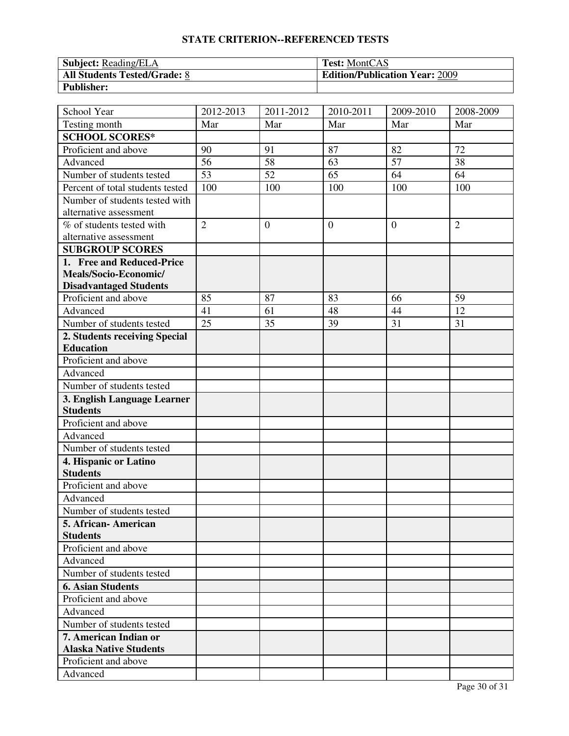| <b>Subject:</b> Reading/ELA         | <b>Test:</b> MontCAS                  |
|-------------------------------------|---------------------------------------|
| <b>All Students Tested/Grade: 8</b> | <b>Edition/Publication Year: 2009</b> |
| <b>Publisher:</b>                   |                                       |

| School Year                                            | 2012-2013       | 2011-2012    | 2010-2011        | $2009 - 2010$ | 2008-2009      |
|--------------------------------------------------------|-----------------|--------------|------------------|---------------|----------------|
| Testing month                                          | Mar             | Mar          | Mar              | Mar           | Mar            |
| <b>SCHOOL SCORES*</b>                                  |                 |              |                  |               |                |
| Proficient and above                                   | 90              | 91           | 87               | 82            | 72             |
| Advanced                                               | 56              | 58           | 63               | 57            | 38             |
| Number of students tested                              | $\overline{53}$ | 52           | 65               | 64            | 64             |
| Percent of total students tested                       | 100             | 100          | 100              | 100           | 100            |
| Number of students tested with                         |                 |              |                  |               |                |
| alternative assessment                                 |                 |              |                  |               |                |
| % of students tested with                              | $\overline{2}$  | $\mathbf{0}$ | $\boldsymbol{0}$ | $\theta$      | $\overline{2}$ |
| alternative assessment                                 |                 |              |                  |               |                |
| <b>SUBGROUP SCORES</b>                                 |                 |              |                  |               |                |
| 1. Free and Reduced-Price                              |                 |              |                  |               |                |
| Meals/Socio-Economic/                                  |                 |              |                  |               |                |
| <b>Disadvantaged Students</b>                          |                 |              |                  |               |                |
| Proficient and above                                   | 85              | 87           | 83               | 66            | 59             |
| Advanced                                               | 41              | 61           | 48               | 44            | 12             |
| Number of students tested                              | 25              | 35           | 39               | 31            | 31             |
| 2. Students receiving Special                          |                 |              |                  |               |                |
| <b>Education</b>                                       |                 |              |                  |               |                |
| Proficient and above                                   |                 |              |                  |               |                |
| Advanced                                               |                 |              |                  |               |                |
| Number of students tested                              |                 |              |                  |               |                |
| 3. English Language Learner                            |                 |              |                  |               |                |
| <b>Students</b>                                        |                 |              |                  |               |                |
| Proficient and above                                   |                 |              |                  |               |                |
| Advanced                                               |                 |              |                  |               |                |
| Number of students tested                              |                 |              |                  |               |                |
| 4. Hispanic or Latino                                  |                 |              |                  |               |                |
| <b>Students</b>                                        |                 |              |                  |               |                |
| Proficient and above                                   |                 |              |                  |               |                |
| Advanced                                               |                 |              |                  |               |                |
| Number of students tested                              |                 |              |                  |               |                |
| 5. African-American                                    |                 |              |                  |               |                |
| <b>Students</b>                                        |                 |              |                  |               |                |
| Proficient and above                                   |                 |              |                  |               |                |
| Advanced                                               |                 |              |                  |               |                |
| Number of students tested                              |                 |              |                  |               |                |
| <b>6. Asian Students</b>                               |                 |              |                  |               |                |
| Proficient and above                                   |                 |              |                  |               |                |
| Advanced                                               |                 |              |                  |               |                |
| Number of students tested                              |                 |              |                  |               |                |
| 7. American Indian or<br><b>Alaska Native Students</b> |                 |              |                  |               |                |
| Proficient and above                                   |                 |              |                  |               |                |
| Advanced                                               |                 |              |                  |               |                |
|                                                        |                 |              |                  |               |                |